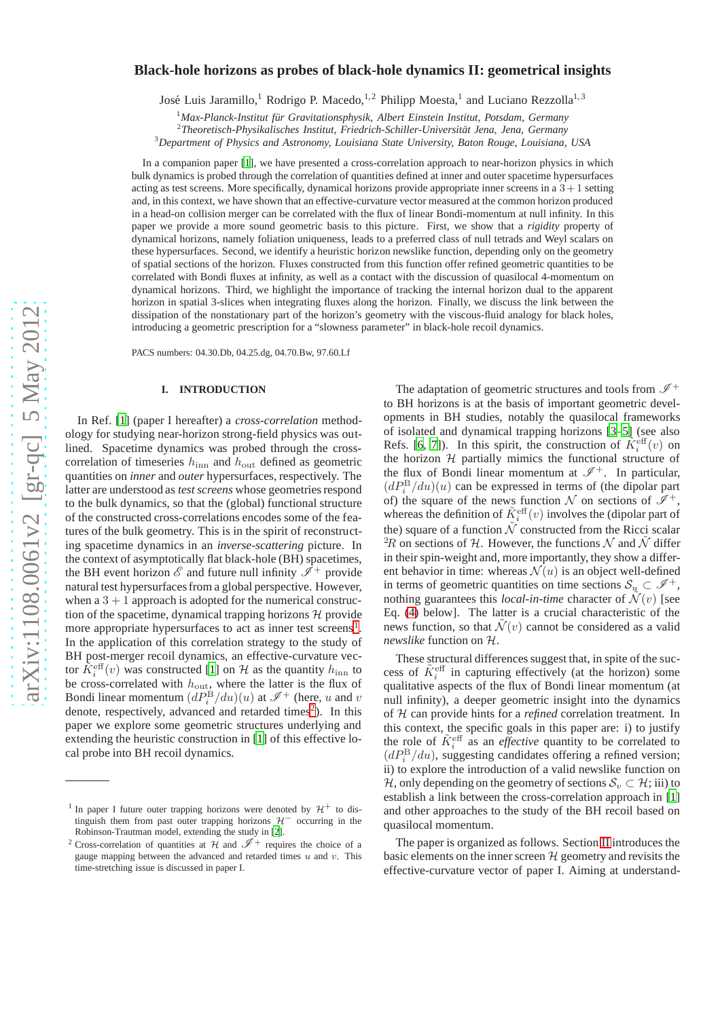# $arXiv:1108.0061v2$  [gr-qc] 5 May 2012 [arXiv:1108.0061v2 \[gr-qc\] 5 May 2012](http://arxiv.org/abs/1108.0061v2)

# **Black-hole horizons as probes of black-hole dynamics II: geometrical insights**

José Luis Jaramillo,<sup>1</sup> Rodrigo P. Macedo,<sup>1,2</sup> Philipp Moesta,<sup>1</sup> and Luciano Rezzolla<sup>1,3</sup>

<sup>1</sup> Max-Planck-Institut für Gravitationsphysik, Albert Einstein Institut, Potsdam, Germany

<sup>2</sup>Theoretisch-Physikalisches Institut, Friedrich-Schiller-Universität Jena, Jena, Germany

<sup>3</sup>*Department of Physics and Astronomy, Louisiana State University, Baton Rouge, Louisiana, USA*

In a companion paper [\[1\]](#page-13-0), we have presented a cross-correlation approach to near-horizon physics in which bulk dynamics is probed through the correlation of quantities defined at inner and outer spacetime hypersurfaces acting as test screens. More specifically, dynamical horizons provide appropriate inner screens in a  $3+1$  setting and, in this context, we have shown that an effective-curvature vector measured at the common horizon produced in a head-on collision merger can be correlated with the flux of linear Bondi-momentum at null infinity. In this paper we provide a more sound geometric basis to this picture. First, we show that a *rigidity* property of dynamical horizons, namely foliation uniqueness, leads to a preferred class of null tetrads and Weyl scalars on these hypersurfaces. Second, we identify a heuristic horizon newslike function, depending only on the geometry of spatial sections of the horizon. Fluxes constructed from this function offer refined geometric quantities to be correlated with Bondi fluxes at infinity, as well as a contact with the discussion of quasilocal 4-momentum on dynamical horizons. Third, we highlight the importance of tracking the internal horizon dual to the apparent horizon in spatial 3-slices when integrating fluxes along the horizon. Finally, we discuss the link between the dissipation of the nonstationary part of the horizon's geometry with the viscous-fluid analogy for black holes, introducing a geometric prescription for a "slowness parameter" in black-hole recoil dynamics.

PACS numbers: 04.30.Db, 04.25.dg, 04.70.Bw, 97.60.Lf

# **I. INTRODUCTION**

In Ref. [\[1\]](#page-13-0) (paper I hereafter) a *cross-correlation* methodology for studying near-horizon strong-field physics was outlined. Spacetime dynamics was probed through the crosscorrelation of timeseries  $h_{\text{inn}}$  and  $h_{\text{out}}$  defined as geometric quantities on *inner* and *outer* hypersurfaces, respectively. The latter are understood as *test screens* whose geometries respond to the bulk dynamics, so that the (global) functional structure of the constructed cross-correlations encodes some of the features of the bulk geometry. This is in the spirit of reconstructing spacetime dynamics in an *inverse-scattering* picture. In the context of asymptotically flat black-hole (BH) spacetimes, the BH event horizon  $\mathscr E$  and future null infinity  $\mathscr I^+$  provide natural test hypersurfaces from a global perspective. However, when  $a\,3 + 1$  approach is adopted for the numerical construction of the spacetime, dynamical trapping horizons  $H$  provide more appropriate hypersurfaces to act as inner test screens<sup>[1](#page-0-0)</sup>. In the application of this correlation strategy to the study of BH post-merger recoil dynamics, an effective-curvature vector  $\tilde{K}^{\text{eff}}_i(v)$  was constructed [\[1\]](#page-13-0) on H as the quantity  $h_{\text{inn}}$  to be cross-correlated with  $h_{\text{out}}$ , where the latter is the flux of Bondi linear momentum  $\left(dP_i^{\text{B}}/du\right)(u)$  at  $\mathscr{I}^+$  (here, u and v denote, respectively, advanced and retarded times [2](#page-0-1) ). In this paper we explore some geometric structures underlying and extending the heuristic construction in [\[1\]](#page-13-0) of this effective local probe into BH recoil dynamics.

The adaptation of geometric structures and tools from  $\mathscr{I}^+$ to BH horizons is at the basis of important geometric developments in BH studies, notably the quasilocal frameworks of isolated and dynamical trapping horizons [\[3–](#page-13-2)[5\]](#page-13-3) (see also Refs. [\[6,](#page-13-4) [7](#page-13-5)]). In this spirit, the construction of  $\tilde{K}^{\text{eff}}_i(v)$  on the horizon  $H$  partially mimics the functional structure of the flux of Bondi linear momentum at  $\mathscr{I}^+$ . In particular,  $(dP_i^{\rm B}/du)(u)$  can be expressed in terms of (the dipolar part of) the square of the news function N on sections of  $\mathscr{I}^+$ , whereas the definition of  $\tilde{K}^{\text{eff}}_{i}(v)$  involves the (dipolar part of the) square of a function  $\tilde{N}$  constructed from the Ricci scalar <sup>2</sup>R on sections of H. However, the functions N and  $\tilde{\mathcal{N}}$  differ in their spin-weight and, more importantly, they show a different behavior in time: whereas  $\mathcal{N}(u)$  is an object well-defined in terms of geometric quantities on time sections  $S_u \subset \mathscr{I}^+$ , nothing guarantees this *local-in-time* character of  $\tilde{\mathcal{N}}(v)$  [see Eq. [\(4\)](#page-2-0) below]. The latter is a crucial characteristic of the news function, so that  $\tilde{\mathcal{N}}(v)$  cannot be considered as a valid *newslike* function on H .

These structural differences suggest that, in spite of the success of  $\tilde{K}^{\text{eff}}_i$  in capturing effectively (at the horizon) some qualitative aspects of the flux of Bondi linear momentum (at null infinity), a deeper geometric insight into the dynamics of H can provide hints for a *refined* correlation treatment. In this context, the specific goals in this paper are: i) to justify the role of  $\tilde{K}^{\text{eff}}_i$  as an *effective* quantity to be correlated to  $(dP_i^{\rm B}/du)$ , suggesting candidates offering a refined version; ii) to explore the introduction of a valid newslike function on H, only depending on the geometry of sections  $\mathcal{S}_v \subset \mathcal{H}$ ; iii) to establish a link between the cross-correlation approach in [\[1\]](#page-13-0) and other approaches to the study of the BH recoil based on quasilocal momentum.

The paper is organized as follows. Section [II](#page-1-0) introduces the basic elements on the inner screen  $H$  geometry and revisits the effective-curvature vector of paper I. Aiming at understand-

<span id="page-0-0"></span><sup>&</sup>lt;sup>1</sup> In paper I future outer trapping horizons were denoted by  $H^+$  to distinguish them from past outer trapping horizons  $H^-$  occurring in the Robinson-Trautman model, extending the study in [\[2\]](#page-13-1).

<span id="page-0-1"></span><sup>&</sup>lt;sup>2</sup> Cross-correlation of quantities at  $H$  and  $\mathscr{I}^+$  requires the choice of a gauge mapping between the advanced and retarded times  $u$  and  $v$ . This time-stretching issue is discussed in paper I.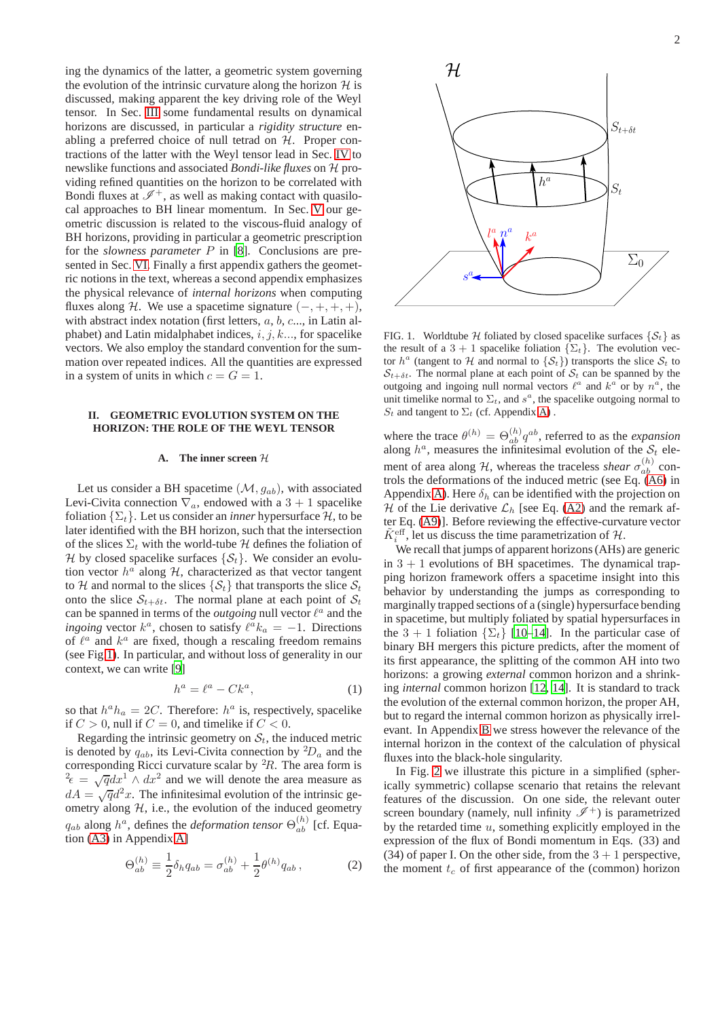ing the dynamics of the latter, a geometric system governing the evolution of the intrinsic curvature along the horizon  $H$  is discussed, making apparent the key driving role of the Weyl tensor. In Sec. [III](#page-4-0) some fundamental results on dynamical horizons are discussed, in particular a *rigidity structure* enabling a preferred choice of null tetrad on  $H$ . Proper contractions of the latter with the Weyl tensor lead in Sec. [IV](#page-5-0) to newslike functions and associated *Bondi-like fluxes* on H providing refined quantities on the horizon to be correlated with Bondi fluxes at  $\mathscr{I}^+$ , as well as making contact with quasilocal approaches to BH linear momentum. In Sec. [V](#page-7-0) our geometric discussion is related to the viscous-fluid analogy of BH horizons, providing in particular a geometric prescription for the *slowness parameter* P in [\[8](#page-13-6)]. Conclusions are presented in Sec. [VI.](#page-9-0) Finally a first appendix gathers the geometric notions in the text, whereas a second appendix emphasizes the physical relevance of *internal horizons* when computing fluxes along H. We use a spacetime signature  $(-, +, +, +)$ , with abstract index notation (first letters, a, b, c..., in Latin alphabet) and Latin midalphabet indices,  $i, j, k...$ , for spacelike vectors. We also employ the standard convention for the summation over repeated indices. All the quantities are expressed in a system of units in which  $c = G = 1$ .

# <span id="page-1-0"></span>**II. GEOMETRIC EVOLUTION SYSTEM ON THE HORIZON: THE ROLE OF THE WEYL TENSOR**

## <span id="page-1-4"></span>**A. The inner screen** H

Let us consider a BH spacetime  $(\mathcal{M}, g_{ab})$ , with associated Levi-Civita connection  $\nabla_a$ , endowed with a 3 + 1 spacelike foliation  $\{\Sigma_t\}$ . Let us consider an *inner* hypersurface H, to be later identified with the BH horizon, such that the intersection of the slices  $\Sigma_t$  with the world-tube H defines the foliation of H by closed spacelike surfaces  $\{S_t\}$ . We consider an evolution vector  $h^a$  along  $H$ , characterized as that vector tangent to H and normal to the slices  $\{S_t\}$  that transports the slice  $S_t$ onto the slice  $S_{t+\delta t}$ . The normal plane at each point of  $S_t$ can be spanned in terms of the *outgoing* null vector  $l^a$  and the *ingoing* vector  $k^a$ , chosen to satisfy  $\ell^a k_a = -1$ . Directions of  $\ell^a$  and  $k^a$  are fixed, though a rescaling freedom remains (see Fig[.1\)](#page-1-1). In particular, and without loss of generality in our context, we can write [\[9\]](#page-13-7)

<span id="page-1-2"></span>
$$
h^a = \ell^a - C k^a,\tag{1}
$$

so that  $h^a h_a = 2C$ . Therefore:  $h^a$  is, respectively, spacelike if  $C > 0$ , null if  $C = 0$ , and timelike if  $C < 0$ .

Regarding the intrinsic geometry on  $S_t$ , the induced metric is denoted by  $q_{ab}$ , its Levi-Civita connection by  ${}^2D_a$  and the corresponding Ricci curvature scalar by  ${}^{2}R$ . The area form is  $e^2 \epsilon = \sqrt{q} dx^1 \wedge dx^2$  and we will denote the area measure as  $dA = \sqrt{q}d^2x$ . The infinitesimal evolution of the intrinsic geometry along  $H$ , i.e., the evolution of the induced geometry  $q_{ab}$  along  $h^a$ , defines the *deformation tensor*  $\Theta_{ab}^{(h)}$  [cf. Equation [\(A3\)](#page-11-0) in Appendix [A\]](#page-10-0)

<span id="page-1-3"></span>
$$
\Theta_{ab}^{(h)} \equiv \frac{1}{2} \delta_h q_{ab} = \sigma_{ab}^{(h)} + \frac{1}{2} \theta^{(h)} q_{ab} , \qquad (2)
$$



<span id="page-1-1"></span>FIG. 1. Worldtube H foliated by closed spacelike surfaces  $\{S_t\}$  as the result of a 3 + 1 spacelike foliation  $\{\Sigma_t\}$ . The evolution vector  $h^a$  (tangent to H and normal to  $\{S_t\}$ ) transports the slice  $S_t$  to  $S_{t+\delta t}$ . The normal plane at each point of  $S_t$  can be spanned by the outgoing and ingoing null normal vectors  $\ell^a$  and  $k^a$  or by  $n^a$ , the unit timelike normal to  $\Sigma_t$ , and  $s^a$ , the spacelike outgoing normal to  $S_t$  and tangent to  $\Sigma_t$  (cf. Appendix [A\)](#page-10-0).

where the trace  $\theta^{(h)} = \Theta_{ab}^{(h)} q^{ab}$ , referred to as the *expansion* along  $h^a$ , measures the infinitesimal evolution of the  $S_t$  element of area along *H*, whereas the traceless *shear*  $\sigma_{ab}^{(h)}$  controls the deformations of the induced metric (see Eq. [\(A6\)](#page-11-1) in Appendix [A\)](#page-10-0). Here  $\delta_h$  can be identified with the projection on H of the Lie derivative  $\mathcal{L}_h$  [see Eq. [\(A2\)](#page-11-2) and the remark after Eq. [\(A9\)](#page-11-3)]. Before reviewing the effective-curvature vector  $\tilde{K}^{\text{eff}}_{i}$ , let us discuss the time parametrization of H.

We recall that jumps of apparent horizons (AHs) are generic in  $3 + 1$  evolutions of BH spacetimes. The dynamical trapping horizon framework offers a spacetime insight into this behavior by understanding the jumps as corresponding to marginally trapped sections of a (single) hypersurface bending in spacetime, but multiply foliated by spatial hypersurfaces in the 3 + 1 foliation  $\{\Sigma_t\}$  [\[10](#page-13-8)[–14\]](#page-13-9). In the particular case of binary BH mergers this picture predicts, after the moment of its first appearance, the splitting of the common AH into two horizons: a growing *external* common horizon and a shrinking *internal* common horizon [\[12](#page-13-10), [14\]](#page-13-9). It is standard to track the evolution of the external common horizon, the proper AH, but to regard the internal common horizon as physically irrelevant. In Appendix [B](#page-12-0) we stress however the relevance of the internal horizon in the context of the calculation of physical fluxes into the black-hole singularity.

In Fig. [2](#page-2-1) we illustrate this picture in a simplified (spherically symmetric) collapse scenario that retains the relevant features of the discussion. On one side, the relevant outer screen boundary (namely, null infinity  $\mathscr{I}^+$ ) is parametrized by the retarded time  $u$ , something explicitly employed in the expression of the flux of Bondi momentum in Eqs. (33) and (34) of paper I. On the other side, from the  $3 + 1$  perspective, the moment  $t_c$  of first appearance of the (common) horizon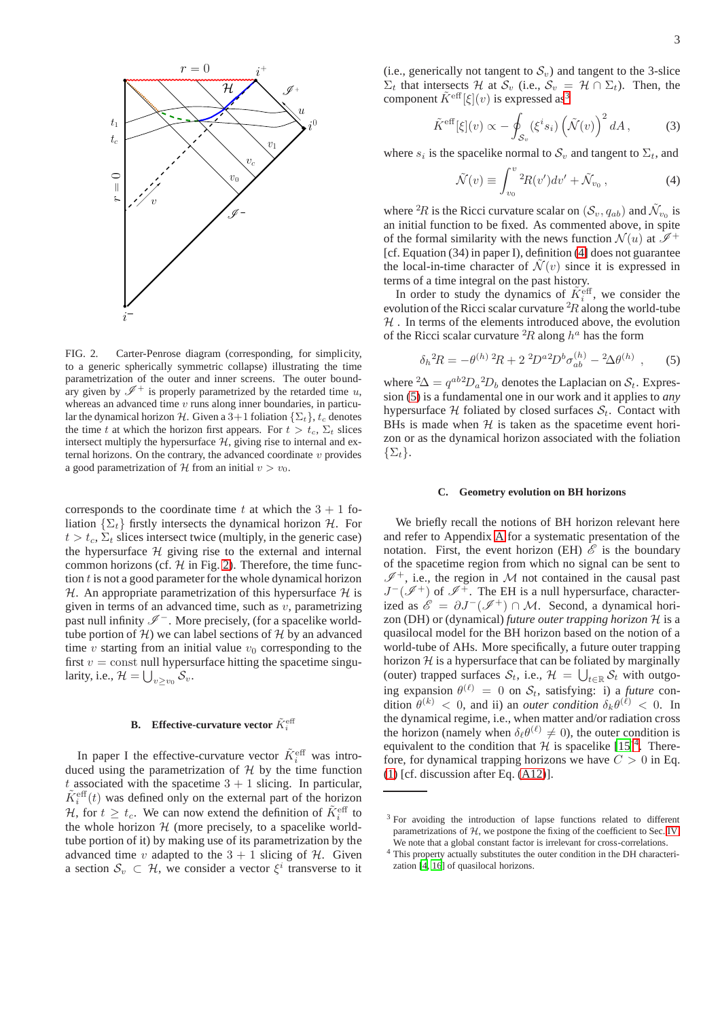

<span id="page-2-1"></span>FIG. 2. Carter-Penrose diagram (corresponding, for simplicity, to a generic spherically symmetric collapse) illustrating the time parametrization of the outer and inner screens. The outer boundary given by  $\mathscr{I}^+$  is properly parametrized by the retarded time u, whereas an advanced time  $v$  runs along inner boundaries, in particular the dynamical horizon H. Given a  $3+1$  foliation  $\{\Sigma_t\}, t_c$  denotes the time t at which the horizon first appears. For  $t > t_c$ ,  $\Sigma_t$  slices intersect multiply the hypersurface  $H$ , giving rise to internal and external horizons. On the contrary, the advanced coordinate  $v$  provides a good parametrization of  $H$  from an initial  $v > v_0$ .

corresponds to the coordinate time t at which the  $3 + 1$  foliation  $\{\Sigma_t\}$  firstly intersects the dynamical horizon  $\mathcal{H}$ . For  $t > t_c$ ,  $\Sigma_t$  slices intersect twice (multiply, in the generic case) the hypersurface  $H$  giving rise to the external and internal common horizons (cf.  $H$  in Fig. [2\)](#page-2-1). Therefore, the time function t is not a good parameter for the whole dynamical horizon H. An appropriate parametrization of this hypersurface  $H$  is given in terms of an advanced time, such as  $v$ , parametrizing past null infinity  $\mathscr{I}^-$ . More precisely, (for a spacelike worldtube portion of  $H$ ) we can label sections of  $H$  by an advanced time  $v$  starting from an initial value  $v_0$  corresponding to the first  $v =$  const null hypersurface hitting the spacetime singularity, i.e.,  $\mathcal{H} = \bigcup_{v \geq v_0} \mathcal{S}_v$ .

# **B.** Effective-curvature vector  $\tilde{K}_i^{\text{eff}}$

In paper I the effective-curvature vector  $\tilde{K}_i^{\text{eff}}$  was introduced using the parametrization of  $H$  by the time function t associated with the spacetime  $3 + 1$  slicing. In particular,  $\tilde{K}^{\text{eff}}_i(t)$  was defined only on the external part of the horizon H, for  $t \geq t_c$ . We can now extend the definition of  $\tilde{K}_i^{\text{eff}}$  to the whole horizon  $H$  (more precisely, to a spacelike worldtube portion of it) by making use of its parametrization by the advanced time v adapted to the  $3 + 1$  slicing of H. Given a section  $S_v \subset \mathcal{H}$ , we consider a vector  $\xi^i$  transverse to it

(i.e., generically not tangent to  $S_v$ ) and tangent to the 3-slice  $\Sigma_t$  that intersects H at  $\mathcal{S}_v$  (i.e.,  $\mathcal{S}_v = \mathcal{H} \cap \Sigma_t$ ). Then, the component  $\tilde{K}^{\text{eff}}[\xi](v)$  is expressed as<sup>[3](#page-2-2)</sup>

<span id="page-2-5"></span>
$$
\tilde{K}^{\text{eff}}[\xi](v) \propto -\oint_{\mathcal{S}_v} (\xi^i s_i) \left(\tilde{\mathcal{N}}(v)\right)^2 dA, \tag{3}
$$

where  $s_i$  is the spacelike normal to  $\mathcal{S}_v$  and tangent to  $\Sigma_t$ , and

<span id="page-2-0"></span>
$$
\tilde{\mathcal{N}}(v) \equiv \int_{v_0}^v {}^2R(v')dv' + \tilde{\mathcal{N}}_{v_0}, \qquad (4)
$$

where <sup>2</sup>R is the Ricci curvature scalar on  $(S_v, q_{ab})$  and  $\tilde{\mathcal{N}}_{v_0}$  is an initial function to be fixed. As commented above, in spite of the formal similarity with the news function  $\mathcal{N}(u)$  at  $\mathcal{I}^+$ [cf. Equation (34) in paper I), definition [\(4\]](#page-2-0) does not guarantee the local-in-time character of  $\mathcal{N}(v)$  since it is expressed in terms of a time integral on the past history.

In order to study the dynamics of  $\tilde{K}_i^{\text{eff}}$ , we consider the evolution of the Ricci scalar curvature  ${}^{2}R$  along the world-tube  $H$ . In terms of the elements introduced above, the evolution of the Ricci scalar curvature  ${}^{2}R$  along  $h^a$  has the form

<span id="page-2-3"></span>
$$
\delta_h{}^2 R = -\theta^{(h)}{}^2 R + 2\ {}^2 D^{a}{}^2 D^b \sigma_{ab}^{(h)} - 2\Delta\theta^{(h)} \,, \qquad (5)
$$

where  ${}^2\Delta = q^{ab} D_a {}^2D_b$  denotes the Laplacian on  $S_t$ . Expression [\(5\)](#page-2-3) is a fundamental one in our work and it applies to *any* hypersurface  $H$  foliated by closed surfaces  $S_t$ . Contact with BHs is made when  $H$  is taken as the spacetime event horizon or as the dynamical horizon associated with the foliation  $\{\Sigma_t\}.$ 

### <span id="page-2-6"></span>**C. Geometry evolution on BH horizons**

We briefly recall the notions of BH horizon relevant here and refer to Appendix [A](#page-10-0) for a systematic presentation of the notation. First, the event horizon (EH)  $\mathscr E$  is the boundary of the spacetime region from which no signal can be sent to  $\mathscr{I}^+$ , i.e., the region in M not contained in the causal past  $J^{-}(\mathscr{I}^{+})$  of  $\mathscr{I}^{+}$ . The EH is a null hypersurface, characterized as  $\mathscr{E} = \partial J^-(\mathscr{I}^+) \cap \mathcal{M}$ . Second, a dynamical horizon (DH) or (dynamical) *future outer trapping horizon* H is a quasilocal model for the BH horizon based on the notion of a world-tube of AHs. More specifically, a future outer trapping horizon  $H$  is a hypersurface that can be foliated by marginally (outer) trapped surfaces  $S_t$ , i.e.,  $\mathcal{H} = \bigcup_{t \in \mathbb{R}} S_t$  with outgoing expansion  $\theta^{(\ell)} = 0$  on  $S_t$ , satisfying: i) a *future* condition  $\theta^{(k)} < 0$ , and ii) an *outer condition*  $\delta_k \theta^{(\ell)} < 0$ . In the dynamical regime, i.e., when matter and/or radiation cross the horizon (namely when  $\delta_{\ell} \theta^{(\ell)} \neq 0$ ), the outer condition is equivalent to the condition that  $\mathcal{H}$  is spacelike  $[15]^4$  $[15]^4$  $[15]^4$ . Therefore, for dynamical trapping horizons we have  $C > 0$  in Eq. [\(1\)](#page-1-2) [cf. discussion after Eq. [\(A12\)](#page-11-4)].

<span id="page-2-2"></span><sup>&</sup>lt;sup>3</sup> For avoiding the introduction of lapse functions related to different parametrizations of  $H$ , we postpone the fixing of the coefficient to Sec. [IV.](#page-5-0) We note that a global constant factor is irrelevant for cross-correlations.

<span id="page-2-4"></span><sup>4</sup> This property actually substitutes the outer condition in the DH characterization [\[4](#page-13-12), [16](#page-13-13)] of quasilocal horizons.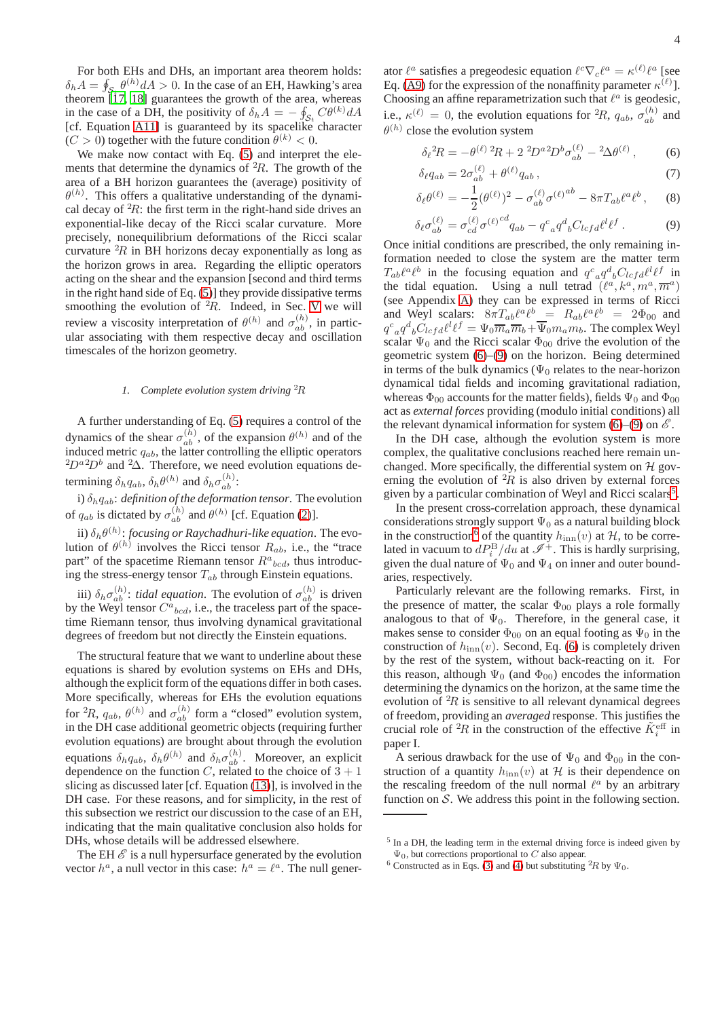For both EHs and DHs, an important area theorem holds:  $\delta_h A = \oint_{S} \theta^{(h)} dA > 0$ . In the case of an EH, Hawking's area theorem [\[17,](#page-13-14) [18\]](#page-13-15) guarantees the growth of the area, whereas in the case of a DH, the positivity of  $\delta_h A = -\oint_{\mathcal{S}_t} C\theta^{(k)} dA$  $S_t$  (cf. Equation [A11\]](#page-11-5) is guaranteed by its spacelike character  $(C > 0)$  together with the future condition  $\theta^{(k)} < 0$ .

We make now contact with Eq.  $(5)$  and interpret the elements that determine the dynamics of  ${}^{2}R$ . The growth of the area of a BH horizon guarantees the (average) positivity of  $\theta^{(h)}$ . This offers a qualitative understanding of the dynamical decay of  ${}^{2}R$ : the first term in the right-hand side drives an exponential-like decay of the Ricci scalar curvature. More precisely, nonequilibrium deformations of the Ricci scalar curvature  ${}^{2}R$  in BH horizons decay exponentially as long as the horizon grows in area. Regarding the elliptic operators acting on the shear and the expansion [second and third terms in the right hand side of Eq. [\(5\)](#page-2-3)] they provide dissipative terms smoothing the evolution of  ${}^{2}R$ . Indeed, in Sec. [V](#page-7-0) we will review a viscosity interpretation of  $\theta^{(h)}$  and  $\sigma_{ab}^{(h)}$ , in particular associating with them respective decay and oscillation timescales of the horizon geometry.

# *1. Complete evolution system driving* <sup>2</sup>R

A further understanding of Eq. [\(5\)](#page-2-3) requires a control of the dynamics of the shear  $\sigma_{ab}^{(h)}$ , of the expansion  $\theta^{(h)}$  and of the induced metric  $q_{ab}$ , the latter controlling the elliptic operators  ${}^{2}D^{a}{}^{2}D^{b}$  and  ${}^{2}\Delta$ . Therefore, we need evolution equations determining  $\delta_h q_{ab}$ ,  $\delta_h \theta^{(h)}$  and  $\delta_h \sigma_{ab}^{(h)}$ :

i)  $\delta_h q_{ab}$ : *definition of the deformation tensor*. The evolution of  $q_{ab}$  is dictated by  $\sigma_{ab}^{(h)}$  and  $\theta^{(h)}$  [cf. Equation [\(2\)](#page-1-3)].

ii)  $\delta_h \theta^{(h)}$ : *focusing or Raychadhuri-like equation*. The evolution of  $\theta^{(h)}$  involves the Ricci tensor  $R_{ab}$ , i.e., the "trace part" of the spacetime Riemann tensor  $R^a{}_{bcd}$ , thus introducing the stress-energy tensor  $T_{ab}$  through Einstein equations.

iii)  $\delta_h \sigma_{ab}^{(h)}$ : *tidal equation*. The evolution of  $\sigma_{ab}^{(h)}$  is driven by the Weyl tensor  $C^a{}_{bcd}$ , i.e., the traceless part of the spacetime Riemann tensor, thus involving dynamical gravitational degrees of freedom but not directly the Einstein equations.

The structural feature that we want to underline about these equations is shared by evolution systems on EHs and DHs, although the explicit form of the equations differ in both cases. More specifically, whereas for EHs the evolution equations for <sup>2</sup>R,  $q_{ab}$ ,  $\theta^{(h)}$  and  $\sigma_{ab}^{(h)}$  form a "closed" evolution system, in the DH case additional geometric objects (requiring further evolution equations) are brought about through the evolution equations  $\delta_h q_{ab}$ ,  $\delta_h \theta^{(h)}$  and  $\delta_h \sigma_{ab}^{(h)}$ . Moreover, an explicit dependence on the function  $C$ , related to the choice of  $3 + 1$ slicing as discussed later [cf. Equation [\(13\)](#page-4-1)], is involved in the DH case. For these reasons, and for simplicity, in the rest of this subsection we restrict our discussion to the case of an EH, indicating that the main qualitative conclusion also holds for DHs, whose details will be addressed elsewhere.

The EH  $\mathscr E$  is a null hypersurface generated by the evolution vector  $h^a$ , a null vector in this case:  $h^a = \ell^a$ . The null generator  $\ell^a$  satisfies a pregeodesic equation  $\ell^c \nabla_c \ell^a = \kappa^{(\ell)} \ell^a$  [see Eq. [\(A9\)](#page-11-3) for the expression of the nonaffinity parameter  $\kappa^{(\ell)}$ ]. Choosing an affine reparametrization such that  $\ell^a$  is geodesic, i.e.,  $\kappa^{(\ell)} = 0$ , the evolution equations for <sup>2</sup>R,  $q_{ab}$ ,  $\sigma_{ab}^{(h)}$  and  $\theta^{(h)}$  close the evolution system

<span id="page-3-0"></span>
$$
\delta_{\ell}{}^{2}R = -\theta^{(\ell)}{}^{2}R + 2\ {}^{2}D^{a}{}^{2}D^{b}\sigma_{ab}^{(\ell)} - {}^{2}\Delta\theta^{(\ell)}\,,\tag{6}
$$

$$
\delta_{\ell} q_{ab} = 2\sigma_{ab}^{(\ell)} + \theta^{(\ell)} q_{ab} , \qquad (7)
$$

$$
\delta_{\ell}\theta^{(\ell)} = -\frac{1}{2}(\theta^{(\ell)})^2 - \sigma_{ab}^{(\ell)}\sigma^{(\ell)}{}^{ab} - 8\pi T_{ab}\ell^a\ell^b\,,\tag{8}
$$

$$
\delta_{\ell}\sigma_{ab}^{(\ell)} = \sigma_{cd}^{(\ell)}\sigma^{(\ell)}{}^{cd}q_{ab} - q^c_{\ a}q^d_{\ b}C_{lcf}d^{\ell}\ell^f. \tag{9}
$$

Once initial conditions are prescribed, the only remaining information needed to close the system are the matter term  $T_{ab}\ell^a\ell^b$  in the focusing equation and  $q^c_{\ \ a}q^d_{\ \ b}C_{lcf}d^{\ell}l^f$  in the tidal equation. Using a null tetrad  $(\ell^a, k^a, m^a, \overline{m}^a)$ (see Appendix [A\)](#page-10-0) they can be expressed in terms of Ricci and Weyl scalars:  $8\pi T_{ab}\ell^a\ell^b = R_{ab}\ell^a\ell^b = 2\Phi_{00}$  and  $q^c_{\phantom{c}a}q^d_{\phantom{d}b}C_{lcfd}\ell^l\ell^f = \Psi_0 \overline{m}_a \overline{m}_b + \overline{\Psi}_0 m_a m_b.$  The complex Weyl scalar  $\Psi_0$  and the Ricci scalar  $\Phi_{00}$  drive the evolution of the geometric system [\(6\)](#page-3-0)–[\(9\)](#page-3-0) on the horizon. Being determined in terms of the bulk dynamics ( $\Psi_0$  relates to the near-horizon dynamical tidal fields and incoming gravitational radiation, whereas  $\Phi_{00}$  accounts for the matter fields), fields  $\Psi_0$  and  $\Phi_{00}$ act as *external forces* providing (modulo initial conditions) all the relevant dynamical information for system [\(6\)](#page-3-0)–[\(9\)](#page-3-0) on  $\mathscr{E}$ .

In the DH case, although the evolution system is more complex, the qualitative conclusions reached here remain unchanged. More specifically, the differential system on  $\mathcal H$  governing the evolution of  ${}^{2}R$  is also driven by external forces given by a particular combination of Weyl and Ricci scalars<sup>[5](#page-3-1)</sup>.

In the present cross-correlation approach, these dynamical considerations strongly support  $\Psi_0$  as a natural building block in the construction<sup>[6](#page-3-2)</sup> of the quantity  $h_{\text{inn}}(v)$  at H, to be correlated in vacuum to  $dP_i^{\rm B}/du$  at  $\mathscr{I}^+$ . This is hardly surprising, given the dual nature of  $\Psi_0$  and  $\Psi_4$  on inner and outer boundaries, respectively.

Particularly relevant are the following remarks. First, in the presence of matter, the scalar  $\Phi_{00}$  plays a role formally analogous to that of  $\Psi_0$ . Therefore, in the general case, it makes sense to consider  $\Phi_{00}$  on an equal footing as  $\Psi_0$  in the construction of  $h_{\text{inn}}(v)$ . Second, Eq. [\(6\)](#page-3-0) is completely driven by the rest of the system, without back-reacting on it. For this reason, although  $\Psi_0$  (and  $\Phi_{00}$ ) encodes the information determining the dynamics on the horizon, at the same time the evolution of  ${}^{2}R$  is sensitive to all relevant dynamical degrees of freedom, providing an *averaged* response. This justifies the crucial role of <sup>2</sup>R in the construction of the effective  $\tilde{K}^{\text{eff}}_i$  in paper I.

A serious drawback for the use of  $\Psi_0$  and  $\Phi_{00}$  in the construction of a quantity  $h_{\text{inn}}(v)$  at H is their dependence on the rescaling freedom of the null normal  $\ell^a$  by an arbitrary function on  $S$ . We address this point in the following section.

<sup>&</sup>lt;sup>5</sup> In a DH, the leading term in the external driving force is indeed given by  $\Psi_0$ , but corrections proportional to C also appear.

<span id="page-3-2"></span><span id="page-3-1"></span><sup>&</sup>lt;sup>6</sup> Constructed as in Eqs. [\(3\)](#page-2-5) and [\(4\)](#page-2-0) but substituting <sup>2</sup>R by  $\Psi_0$ .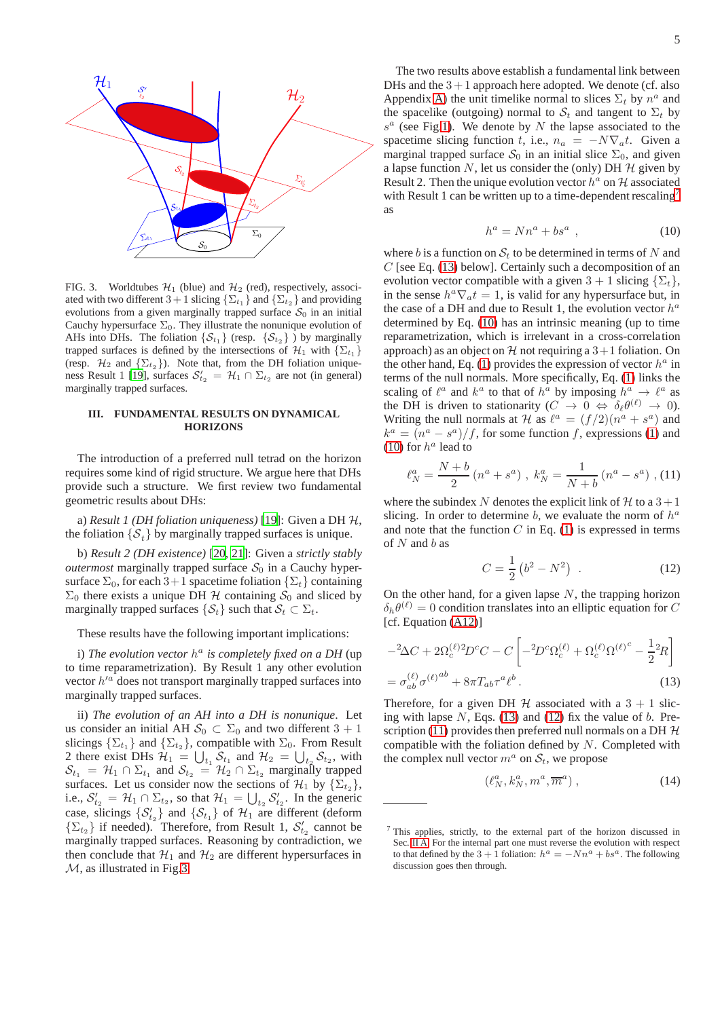

<span id="page-4-2"></span>FIG. 3. Worldtubes  $\mathcal{H}_1$  (blue) and  $\mathcal{H}_2$  (red), respectively, associated with two different 3 + 1 slicing  $\{\Sigma_{t_1}\}\$  and  $\{\Sigma_{t_2}\}\$  and providing evolutions from a given marginally trapped surface  $S_0$  in an initial Cauchy hypersurface  $\Sigma_0$ . They illustrate the nonunique evolution of AHs into DHs. The foliation  $\{S_{t_1}\}\$  (resp.  $\{S_{t_2}\}\$ ) by marginally trapped surfaces is defined by the intersections of  $\mathcal{H}_1$  with  $\{\Sigma_{t_1}\}$ (resp.  $\mathcal{H}_2$  and  $\{\Sigma_{t_2}\}\)$ . Note that, from the DH foliation unique-ness Result 1 [\[19](#page-13-16)], surfaces  $S'_{t_2} = \mathcal{H}_1 \cap \Sigma_{t_2}$  are not (in general) marginally trapped surfaces.

# <span id="page-4-0"></span>**III. FUNDAMENTAL RESULTS ON DYNAMICAL HORIZONS**

The introduction of a preferred null tetrad on the horizon requires some kind of rigid structure. We argue here that DHs provide such a structure. We first review two fundamental geometric results about DHs:

a) *Result 1 (DH foliation uniqueness)* [\[19\]](#page-13-16): Given a DH H, the foliation  $\{\mathcal{S}_t\}$  by marginally trapped surfaces is unique.

b) *Result 2 (DH existence)* [\[20](#page-13-17), [21\]](#page-13-18): Given a *strictly stably outermost* marginally trapped surface  $S_0$  in a Cauchy hypersurface  $\Sigma_0$ , for each 3+1 spacetime foliation  $\{\Sigma_t\}$  containing  $\Sigma_0$  there exists a unique DH H containing  $S_0$  and sliced by marginally trapped surfaces  $\{S_t\}$  such that  $S_t \subset \Sigma_t$ .

These results have the following important implications:

i) *The evolution vector* h a *is completely fixed on a DH* (up to time reparametrization). By Result 1 any other evolution vector  $h'^a$  does not transport marginally trapped surfaces into marginally trapped surfaces.

ii) *The evolution of an AH into a DH is nonunique*. Let us consider an initial AH  $S_0 \subset \Sigma_0$  and two different  $3 + 1$ slicings  $\{\Sigma_{t_1}\}\$  and  $\{\Sigma_{t_2}\}\$ , compatible with  $\Sigma_0$ . From Result 2 there exist DHs  $\mathcal{H}_1 = \bigcup_{t_1} \mathcal{S}_{t_1}$  and  $\mathcal{H}_2 = \bigcup_{t_2} \mathcal{S}_{t_2}$ , with  $\mathcal{S}_{t_1} = \mathcal{H}_1 \cap \Sigma_{t_1}$  and  $\mathcal{S}_{t_2} = \mathcal{H}_2 \cap \Sigma_{t_2}$  marginally trapped surfaces. Let us consider now the sections of  $\mathcal{H}_1$  by  $\{\Sigma_{t_2}\}\,$ , i.e.,  $S'_{t_2} = \mathcal{H}_1 \cap \Sigma_{t_2}$ , so that  $\mathcal{H}_1 = \bigcup_{t_2} S'_{t_2}$ . In the generic case, slicings  $\{S'_{t_2}\}\$  and  $\{S_{t_1}\}\$  of  $\mathcal{H}_1$  are different (deform  $\{\Sigma_{t_2}\}\$  if needed). Therefore, from Result 1,  $S'_{t_2}$  cannot be marginally trapped surfaces. Reasoning by contradiction, we then conclude that  $\mathcal{H}_1$  and  $\mathcal{H}_2$  are different hypersurfaces in M, as illustrated in Fig[.3.](#page-4-2)

The two results above establish a fundamental link between DHs and the  $3 + 1$  approach here adopted. We denote (cf. also Appendix [A\)](#page-10-0) the unit timelike normal to slices  $\Sigma_t$  by  $n^a$  and the spacelike (outgoing) normal to  $S_t$  and tangent to  $\Sigma_t$  by  $s^a$  (see Fig[.1\)](#page-1-1). We denote by N the lapse associated to the spacetime slicing function t, i.e.,  $n_a = -N\nabla_a t$ . Given a marginal trapped surface  $S_0$  in an initial slice  $\Sigma_0$ , and given a lapse function  $N$ , let us consider the (only) DH  $H$  given by Result 2. Then the unique evolution vector  $h^a$  on H associated with Result 1 can be written up to a time-dependent rescaling<sup>[7](#page-4-3)</sup> as

<span id="page-4-4"></span>
$$
h^a = Nn^a + bs^a \t\t(10)
$$

where b is a function on  $S_t$  to be determined in terms of N and  $C$  [see Eq. [\(13\)](#page-4-1) below]. Certainly such a decomposition of an evolution vector compatible with a given  $3 + 1$  slicing  $\{\Sigma_t\}$ , in the sense  $h^a \nabla_a t = 1$ , is valid for any hypersurface but, in the case of a DH and due to Result 1, the evolution vector  $h^a$ determined by Eq. [\(10\)](#page-4-4) has an intrinsic meaning (up to time reparametrization, which is irrelevant in a cross-correlation approach) as an object on  $H$  not requiring a  $3+1$  foliation. On the other hand, Eq. [\(1\)](#page-1-2) provides the expression of vector  $h^a$  in terms of the null normals. More specifically, Eq. [\(1\)](#page-1-2) links the scaling of  $\ell^a$  and  $k^a$  to that of  $h^a$  by imposing  $h^a \to \ell^a$  as the DH is driven to stationarity  $(C \to 0 \Leftrightarrow \delta_{\ell} \theta^{(\ell)} \to 0)$ . Writing the null normals at H as  $\ell^a = (f/2)(n^a + s^a)$  and  $k^a = (n^a - s^a)/f$ , for some function f, expressions [\(1\)](#page-1-2) and [\(10\)](#page-4-4) for  $h^a$  lead to

<span id="page-4-6"></span>
$$
\ell_N^a = \frac{N+b}{2} \left( n^a + s^a \right) , \ k_N^a = \frac{1}{N+b} \left( n^a - s^a \right) , \text{(11)}
$$

where the subindex N denotes the explicit link of H to a  $3+1$ slicing. In order to determine  $b$ , we evaluate the norm of  $h^a$ and note that the function  $C$  in Eq. [\(1\)](#page-1-2) is expressed in terms of  $N$  and  $b$  as

<span id="page-4-5"></span>
$$
C = \frac{1}{2} (b^2 - N^2) \tag{12}
$$

On the other hand, for a given lapse  $N$ , the trapping horizon  $\delta_h \theta^{(\ell)} = 0$  condition translates into an elliptic equation for C [cf. Equation [\(A12\)](#page-11-4)]

<span id="page-4-1"></span>
$$
-2\Delta C + 2\Omega_c^{(\ell)}{}^2 D^c C - C \left[ -2D^c \Omega_c^{(\ell)} + \Omega_c^{(\ell)} \Omega^{(\ell)^c} - \frac{1}{2} {}^2R \right]
$$
  
=  $\sigma_{ab}^{(\ell)} \sigma^{(\ell)}{}^{ab} + 8\pi T_{ab} \tau^a \ell^b$ . (13)

Therefore, for a given DH  $H$  associated with a 3 + 1 slicing with lapse  $N$ , Eqs. [\(13\)](#page-4-1) and [\(12\)](#page-4-5) fix the value of  $b$ . Pre-scription [\(11\)](#page-4-6) provides then preferred null normals on a DH  $H$ compatible with the foliation defined by  $N$ . Completed with the complex null vector  $m^a$  on  $S_t$ , we propose

<span id="page-4-7"></span>
$$
(\ell_N^a, k_N^a, m^a, \overline{m}^a) , \qquad (14)
$$

<span id="page-4-3"></span> $<sup>7</sup>$  This applies, strictly, to the external part of the horizon discussed in</sup> Sec. [II A.](#page-1-4) For the internal part one must reverse the evolution with respect to that defined by the  $3 + 1$  foliation:  $h^a = -Nn^a + bs^a$ . The following discussion goes then through.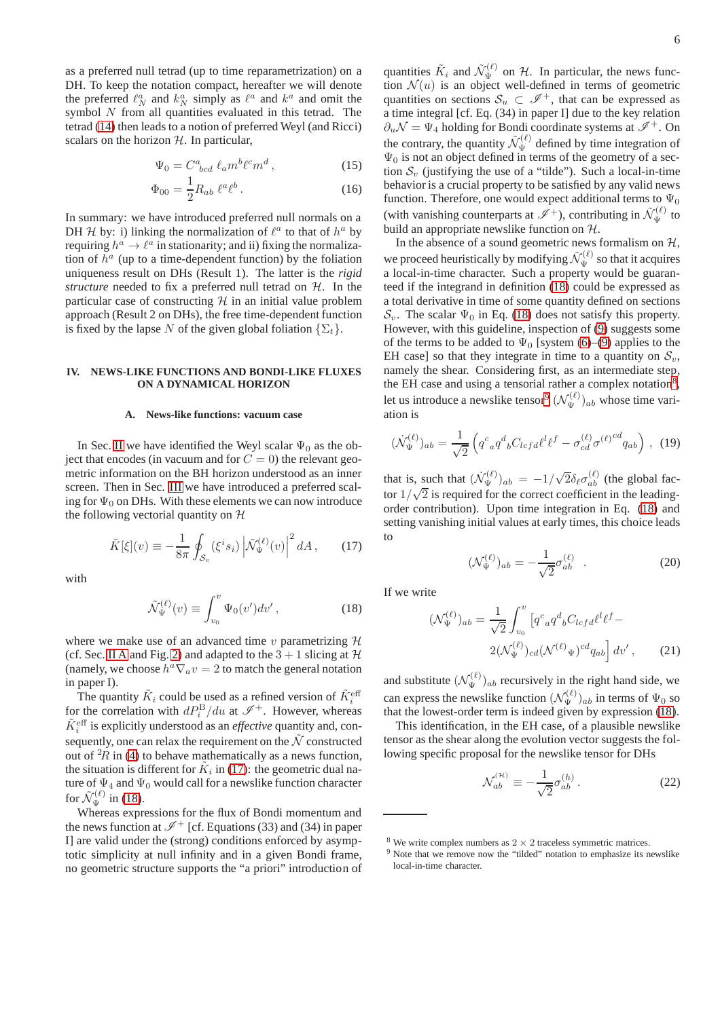as a preferred null tetrad (up to time reparametrization) on a DH. To keep the notation compact, hereafter we will denote the preferred  $\ell_N^a$  and  $k_N^a$  simply as  $\ell^a$  and  $k^a$  and omit the symbol  $N$  from all quantities evaluated in this tetrad. The tetrad [\(14\)](#page-4-7) then leads to a notion of preferred Weyl (and Ricci) scalars on the horizon  $H$ . In particular,

$$
\Psi_0 = C^a_{\;bcd} \; \ell_a m^b \ell^c m^d \,, \tag{15}
$$

$$
\Phi_{00} = \frac{1}{2} R_{ab} \; \ell^a \ell^b \,. \tag{16}
$$

In summary: we have introduced preferred null normals on a DH H by: i) linking the normalization of  $\ell^a$  to that of  $h^a$  by requiring  $h^a \rightarrow \ell^a$  in stationarity; and ii) fixing the normalization of  $h^a$  (up to a time-dependent function) by the foliation uniqueness result on DHs (Result 1). The latter is the *rigid structure* needed to fix a preferred null tetrad on H. In the particular case of constructing  $H$  in an initial value problem approach (Result 2 on DHs), the free time-dependent function is fixed by the lapse N of the given global foliation  $\{\Sigma_t\}.$ 

# <span id="page-5-0"></span>**IV. NEWS-LIKE FUNCTIONS AND BONDI-LIKE FLUXES ON A DYNAMICAL HORIZON**

### **A. News-like functions: vacuum case**

In Sec. [II](#page-1-0) we have identified the Weyl scalar  $\Psi_0$  as the object that encodes (in vacuum and for  $C = 0$ ) the relevant geometric information on the BH horizon understood as an inner screen. Then in Sec. [III](#page-4-0) we have introduced a preferred scaling for  $\Psi_0$  on DHs. With these elements we can now introduce the following vectorial quantity on  $H$ 

<span id="page-5-1"></span>
$$
\tilde{K}[\xi](v) \equiv -\frac{1}{8\pi} \oint_{\mathcal{S}_v} (\xi^i s_i) \left| \tilde{\mathcal{N}}_{\Psi}^{(\ell)}(v) \right|^2 dA \,, \tag{17}
$$

with

<span id="page-5-2"></span>
$$
\tilde{\mathcal{N}}_{\Psi}^{(\ell)}(v) \equiv \int_{v_0}^{v} \Psi_0(v') dv', \qquad (18)
$$

where we make use of an advanced time  $v$  parametrizing  $H$ (cf. Sec. [II A](#page-1-4) and Fig. [2\)](#page-2-1) and adapted to the  $3 + 1$  slicing at  $H$ (namely, we choose  $h^a \nabla_a v = 2$  to match the general notation in paper I).

The quantity  $\tilde{K}_i$  could be used as a refined version of  $\tilde{K}_i^{\text{eff}}$ for the correlation with  $dP_i^{\rm B}/du$  at  $\mathscr{I}^+$ . However, whereas  $\tilde{K}^{\text{eff}}_i$  is explicitly understood as an *effective* quantity and, consequently, one can relax the requirement on the  $\tilde{\mathcal{N}}$  constructed out of  ${}^{2}R$  in [\(4\)](#page-2-0) to behave mathematically as a news function, the situation is different for  $\tilde{K}_i$  in [\(17\)](#page-5-1): the geometric dual nature of  $\Psi_4$  and  $\Psi_0$  would call for a newslike function character for  $\tilde{\mathcal{N}}_{\Psi}^{(\ell)}$  in [\(18\)](#page-5-2).

Whereas expressions for the flux of Bondi momentum and the news function at  $\mathscr{I}^+$  [cf. Equations (33) and (34) in paper I] are valid under the (strong) conditions enforced by asymptotic simplicity at null infinity and in a given Bondi frame, no geometric structure supports the "a priori" introduction of

quantities  $\tilde{K}_i$  and  $\tilde{\mathcal{N}}_{\Psi}^{(\ell)}$  on H. In particular, the news function  $\mathcal{N}(u)$  is an object well-defined in terms of geometric quantities on sections  $S_u \subset \mathcal{I}^+$ , that can be expressed as a time integral [cf. Eq. (34) in paper I] due to the key relation  $\partial_u \mathcal{N} = \Psi_4$  holding for Bondi coordinate systems at  $\mathcal{I}^+$ . On the contrary, the quantity  $\tilde{\mathcal{N}}_{\Psi}^{(\ell)}$  defined by time integration of  $\Psi_0$  is not an object defined in terms of the geometry of a section  $S_v$  (justifying the use of a "tilde"). Such a local-in-time behavior is a crucial property to be satisfied by any valid news function. Therefore, one would expect additional terms to  $\Psi_0$ (with vanishing counterparts at  $\mathscr{I}^+$ ), contributing in  $\tilde{\mathcal{N}}_{\Psi}^{(\ell)}$  to build an appropriate newslike function on H.

In the absence of a sound geometric news formalism on  $H$ , we proceed heuristically by modifying  $\tilde{\mathcal{N}}_{\Psi}^{(\ell)}$  so that it acquires a local-in-time character. Such a property would be guaranteed if the integrand in definition [\(18\)](#page-5-2) could be expressed as a total derivative in time of some quantity defined on sections  $\mathcal{S}_v$ . The scalar  $\Psi_0$  in Eq. [\(18\)](#page-5-2) does not satisfy this property. However, with this guideline, inspection of [\(9\)](#page-3-0) suggests some of the terms to be added to  $\Psi_0$  [system [\(6\)](#page-3-0)–[\(9\)](#page-3-0) applies to the EH case] so that they integrate in time to a quantity on  $S_v$ , namely the shear. Considering first, as an intermediate step, the EH case and using a tensorial rather a complex notation<sup>[8](#page-5-3)</sup>, let us introduce a newslike tensor<sup>[9](#page-5-4)</sup>  $(\mathcal{N}_{\Psi}^{(\ell)})_{ab}$  whose time variation is

$$
(\dot{\mathcal{N}}_{\Psi}^{(\ell)})_{ab} = \frac{1}{\sqrt{2}} \left( q^c_{\ a} q^d_{\ b} C_{lcfd} \ell^l \ell^f - \sigma_{cd}^{(\ell)} \sigma^{(\ell) \, cd} q_{ab} \right) \,, \tag{19}
$$

that is, such that  $(\dot{N}_{\Psi}^{(\ell)})_{ab} = -1/\sqrt{2} \delta_{\ell} \sigma_{ab}^{(\ell)}$  (the global factor  $1/\sqrt{2}$  is required for the correct coefficient in the leadingorder contribution). Upon time integration in Eq. [\(18\)](#page-5-2) and setting vanishing initial values at early times, this choice leads to

$$
(\mathcal{N}_{\Psi}^{(\ell)})_{ab} = -\frac{1}{\sqrt{2}} \sigma_{ab}^{(\ell)} . \tag{20}
$$

If we write

$$
(\mathcal{N}_{\Psi}^{(\ell)})_{ab} = \frac{1}{\sqrt{2}} \int_{v_0}^{v} \left[ q^c_{\ a} q^d_{\ b} C_{lcfd} \ell^l \ell^f - 2(\mathcal{N}_{\Psi}^{(\ell)})_{cd} (\mathcal{N}^{(\ell)})_{cd} \ell^d_{\ a b} \right] dv', \tag{21}
$$

and substitute  $(\mathcal{N}_{\Psi}^{(\ell)})_{ab}$  recursively in the right hand side, we can express the newslike function  $(\mathcal{N}_{\Psi}^{(\ell)})_{ab}$  in terms of  $\Psi_0$  so that the lowest-order term is indeed given by expression [\(18\)](#page-5-2).

This identification, in the EH case, of a plausible newslike tensor as the shear along the evolution vector suggests the following specific proposal for the newslike tensor for DHs

<span id="page-5-5"></span>
$$
\mathcal{N}_{ab}^{(n)} \equiv -\frac{1}{\sqrt{2}} \sigma_{ab}^{(h)} \,. \tag{22}
$$

<sup>&</sup>lt;sup>8</sup> We write complex numbers as  $2 \times 2$  traceless symmetric matrices.

<span id="page-5-4"></span><span id="page-5-3"></span><sup>&</sup>lt;sup>9</sup> Note that we remove now the "tilded" notation to emphasize its newslike local-in-time character.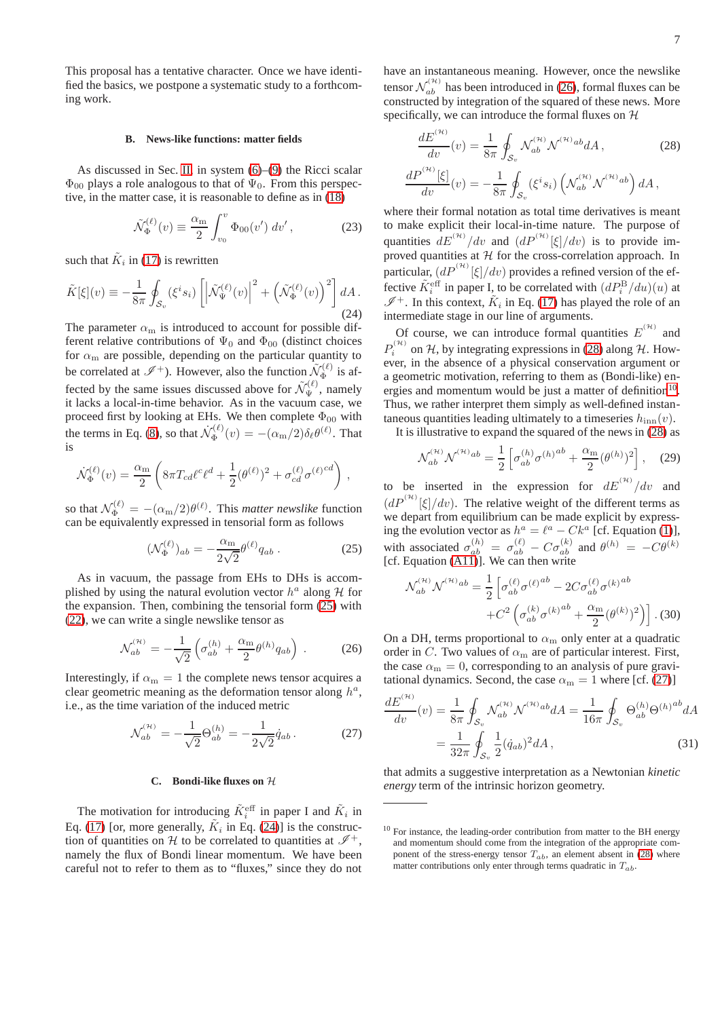This proposal has a tentative character. Once we have identified the basics, we postpone a systematic study to a forthcoming work.

# **B. News-like functions: matter fields**

As discussed in Sec. [II,](#page-1-0) in system [\(6\)](#page-3-0)–[\(9\)](#page-3-0) the Ricci scalar  $\Phi_{00}$  plays a role analogous to that of  $\Psi_0$ . From this perspective, in the matter case, it is reasonable to define as in [\(18\)](#page-5-2)

$$
\tilde{\mathcal{N}}_{\Phi}^{(\ell)}(v) \equiv \frac{\alpha_{\rm m}}{2} \int_{v_0}^v \Phi_{00}(v') \, dv', \tag{23}
$$

such that  $\tilde{K}_i$  in [\(17\)](#page-5-1) is rewritten

<span id="page-6-1"></span>
$$
\tilde{K}[\xi](v) \equiv -\frac{1}{8\pi} \oint_{\mathcal{S}_v} (\xi^i s_i) \left[ \left| \tilde{\mathcal{N}}_{\Psi}^{(\ell)}(v) \right|^2 + \left( \tilde{\mathcal{N}}_{\Phi}^{(\ell)}(v) \right)^2 \right] dA.
$$
\n(24)

The parameter  $\alpha_{\rm m}$  is introduced to account for possible different relative contributions of  $\Psi_0$  and  $\Phi_{00}$  (distinct choices for  $\alpha_m$  are possible, depending on the particular quantity to be correlated at  $\mathscr{I}^+$ ). However, also the function  $\tilde{\mathcal{N}}_{\Phi}^{(\ell)}$  $\Phi^{\left(\ell\right)}$  is affected by the same issues discussed above for  $\mathcal{N}_{\Psi}^{(\ell)}$ , namely it lacks a local-in-time behavior. As in the vacuum case, we proceed first by looking at EHs. We then complete  $\Phi_{00}$  with the terms in Eq. [\(8\)](#page-3-0), so that  $\dot{\mathcal{N}}_{\Phi}^{(\ell)}$  $\tilde{\Phi}^{(\ell)}(v) = -(\alpha_{\rm m}/2) \delta_{\ell} \theta^{(\ell)}$ . That is

$$
\dot{\mathcal{N}}_{\Phi}^{(\ell)}(v) = \frac{\alpha_{\rm m}}{2} \left( 8\pi T_{cd} \ell^c \ell^d + \frac{1}{2} (\theta^{(\ell)})^2 + \sigma_{cd}^{(\ell)} \sigma^{(\ell)} \sigma^d \right) ,
$$

so that  $\mathcal{N}_{\Phi}^{(\ell)} = -(\alpha_{\rm m}/2)\theta^{(\ell)}$ . This *matter newslike* function can be equivalently expressed in tensorial form as follows

<span id="page-6-0"></span>
$$
(\mathcal{N}_{\Phi}^{(\ell)})_{ab} = -\frac{\alpha_{\rm m}}{2\sqrt{2}} \theta^{(\ell)} q_{ab} . \qquad (25)
$$

As in vacuum, the passage from EHs to DHs is accomplished by using the natural evolution vector  $h^a$  along  $H$  for the expansion. Then, combining the tensorial form [\(25\)](#page-6-0) with [\(22\)](#page-5-5), we can write a single newslike tensor as

<span id="page-6-2"></span>
$$
\mathcal{N}_{ab}^{(H)} = -\frac{1}{\sqrt{2}} \left( \sigma_{ab}^{(h)} + \frac{\alpha_{\rm m}}{2} \theta^{(h)} q_{ab} \right) \,. \tag{26}
$$

Interestingly, if  $\alpha_m = 1$  the complete news tensor acquires a clear geometric meaning as the deformation tensor along  $h^a$ , i.e., as the time variation of the induced metric

<span id="page-6-5"></span>
$$
\mathcal{N}_{ab}^{(H)} = -\frac{1}{\sqrt{2}} \Theta_{ab}^{(h)} = -\frac{1}{2\sqrt{2}} \dot{q}_{ab} \,. \tag{27}
$$

# **C. Bondi-like fluxes on** H

The motivation for introducing  $\tilde{K}_i^{\text{eff}}$  in paper I and  $\tilde{K}_i$  in Eq. [\(17\)](#page-5-1) [or, more generally,  $\tilde{K}_i$  in Eq. [\(24\)](#page-6-1)] is the construction of quantities on H to be correlated to quantities at  $\mathscr{I}^+$ , namely the flux of Bondi linear momentum. We have been careful not to refer to them as to "fluxes," since they do not

have an instantaneous meaning. However, once the newslike tensor  $\mathcal{N}_{ab}^{(\mathcal{H})}$  has been introduced in [\(26\)](#page-6-2), formal fluxes can be constructed by integration of the squared of these news. More specifically, we can introduce the formal fluxes on  $H$ 

<span id="page-6-3"></span>
$$
\frac{dE^{(\mathcal{H})}}{dv}(v) = \frac{1}{8\pi} \oint_{\mathcal{S}_v} \mathcal{N}_{ab}^{(\mathcal{H})} \mathcal{N}^{(\mathcal{H})ab} dA, \qquad (28)
$$

$$
\frac{dP^{(\mathcal{H})}[\xi]}{dv}(v) = -\frac{1}{8\pi} \oint_{\mathcal{S}_v} (\xi^i s_i) \left( \mathcal{N}_{ab}^{(\mathcal{H})} \mathcal{N}^{(\mathcal{H})ab} \right) dA,
$$

where their formal notation as total time derivatives is meant to make explicit their local-in-time nature. The purpose of quantities  $dE^{(\mathcal{H})}/dv$  and  $(dP^{(\mathcal{H})}[\xi]/dv)$  is to provide improved quantities at  $H$  for the cross-correlation approach. In particular,  $(dP^{(\mathcal{H})}[\xi]/dv)$  provides a refined version of the effective  $\tilde{K}_i^{\text{eff}}$  in paper I, to be correlated with  $(dP_i^{\text{B}}/du)(u)$  at  $I^+$ . In this context,  $\tilde{K}_i$  in Eq. [\(17\)](#page-5-1) has played the role of an intermediate stage in our line of arguments.

Of course, we can introduce formal quantities  $E^{(\mathcal{H})}$  and  $P_i^{(\mathcal{H})}$  $i^{(n)}$  on H, by integrating expressions in [\(28\)](#page-6-3) along H. However, in the absence of a physical conservation argument or a geometric motivation, referring to them as (Bondi-like) energies and momentum would be just a matter of definition $10$ . Thus, we rather interpret them simply as well-defined instantaneous quantities leading ultimately to a timeseries  $h_{\text{inn}}(v)$ .

It is illustrative to expand the squared of the news in [\(28\)](#page-6-3) as

$$
\mathcal{N}_{ab}^{(H)} \mathcal{N}^{(H)}{}^{ab} = \frac{1}{2} \left[ \sigma_{ab}^{(h)} \sigma^{(h)}{}^{ab} + \frac{\alpha_{\rm m}}{2} (\theta^{(h)})^2 \right], \quad (29)
$$

to be inserted in the expression for  $dE^{(\mathcal{H})}/dv$  and  $\left(dP^{(\mathcal{H})}[\xi]/dv\right)$ . The relative weight of the different terms as we depart from equilibrium can be made explicit by expressing the evolution vector as  $h^a = \ell^a - Ck^a$  [cf. Equation [\(1\)](#page-1-2)], with associated  $\sigma_{ab}^{(h)} = \sigma_{ab}^{(\ell)} - C\sigma_{ab}^{(k)}$  and  $\theta^{(h)} = -C\theta^{(k)}$ [cf. Equation [\(A11\)](#page-11-5)]. We can then write

$$
\mathcal{N}_{ab}^{(H)} \mathcal{N}^{(H)}{}^{ab} = \frac{1}{2} \left[ \sigma_{ab}^{(\ell)} \sigma^{(\ell)}{}^{ab} - 2C \sigma_{ab}^{(\ell)} \sigma^{(k)}{}^{ab} + C^2 \left( \sigma_{ab}^{(k)} \sigma^{(k)}{}^{ab} + \frac{\alpha_m}{2} (\theta^{(k)})^2 \right) \right].
$$
 (30)

On a DH, terms proportional to  $\alpha_{\rm m}$  only enter at a quadratic order in C. Two values of  $\alpha_{\rm m}$  are of particular interest. First, the case  $\alpha_m = 0$ , corresponding to an analysis of pure gravitational dynamics. Second, the case  $\alpha_m = 1$  where [cf. [\(27\)](#page-6-5)]

$$
\frac{dE^{^{(\mathcal{H})}}}{dv}(v) = \frac{1}{8\pi} \oint_{\mathcal{S}_v} \mathcal{N}_{ab}^{^{(\mathcal{H})}} \mathcal{N}^{^{(\mathcal{H})}ab} dA = \frac{1}{16\pi} \oint_{\mathcal{S}_v} \Theta_{ab}^{(h)} \Theta^{(h)}^{ab} dA
$$

$$
= \frac{1}{32\pi} \oint_{\mathcal{S}_v} \frac{1}{2} (\dot{q}_{ab})^2 dA , \qquad (31)
$$

that admits a suggestive interpretation as a Newtonian *kinetic energy* term of the intrinsic horizon geometry.

<span id="page-6-4"></span> $10$  For instance, the leading-order contribution from matter to the BH energy and momentum should come from the integration of the appropriate component of the stress-energy tensor  $T_{ab}$ , an element absent in [\(28\)](#page-6-3) where matter contributions only enter through terms quadratic in  $T_{ab}$ .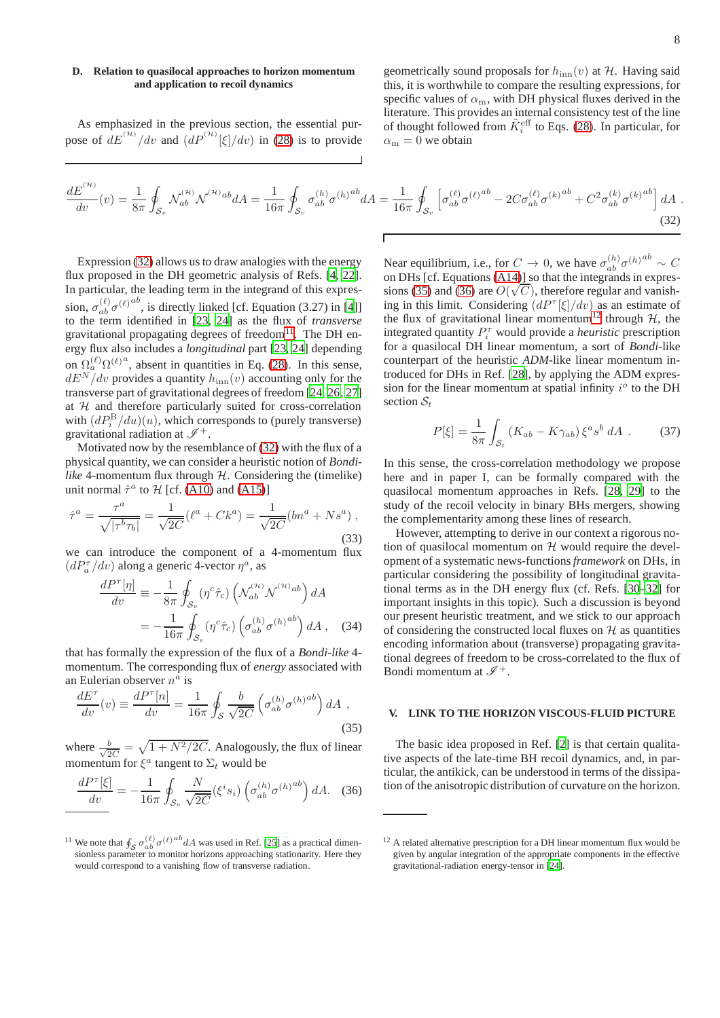# <span id="page-7-6"></span>**D. Relation to quasilocal approaches to horizon momentum and application to recoil dynamics**

As emphasized in the previous section, the essential purpose of  $dE^{(\mathcal{H})}/dv$  and  $(dP^{(\mathcal{H})}[\xi]/dv)$  in [\(28\)](#page-6-3) is to provide geometrically sound proposals for  $h_{\text{inn}}(v)$  at  $H$ . Having said this, it is worthwhile to compare the resulting expressions, for specific values of  $\alpha_m$ , with DH physical fluxes derived in the literature. This provides an internal consistency test of the line of thought followed from  $\tilde{K}_i^{\text{eff}}$  to Eqs. [\(28\)](#page-6-3). In particular, for  $\alpha_{\rm m} = 0$  we obtain

<span id="page-7-1"></span>
$$
\frac{dE^{^{(\mathcal{H})}}}{dv}(v) = \frac{1}{8\pi} \oint_{\mathcal{S}_v} \mathcal{N}_{ab}^{^{(\mathcal{H})}} \mathcal{N}^{^{(\mathcal{H})}ab} dA = \frac{1}{16\pi} \oint_{\mathcal{S}_v} \sigma_{ab}^{(h)} \sigma^{(h)}{}^{ab} dA = \frac{1}{16\pi} \oint_{\mathcal{S}_v} \left[ \sigma_{ab}^{(\ell)} \sigma^{(\ell)}{}^{ab} - 2C \sigma_{ab}^{(\ell)} \sigma^{(k)}{}^{ab} + C^2 \sigma_{ab}^{(k)} \sigma^{(k)}{}^{ab} \right] dA \tag{32}
$$

Expression [\(32\)](#page-7-1) allows us to draw analogies with the energy flux proposed in the DH geometric analysis of Refs. [\[4,](#page-13-12) [22](#page-13-19)]. In particular, the leading term in the integrand of this expression,  $\sigma_{ab}^{(\ell)} \sigma^{(\ell)ab}$ , is directly linked [cf. Equation (3.27) in [\[4\]](#page-13-12)] to the term identified in [\[23](#page-13-20), [24\]](#page-13-21) as the flux of *transverse* gravitational propagating degrees of freedom $^{11}$  $^{11}$  $^{11}$ . The DH energy flux also includes a *longitudinal* part [\[23,](#page-13-20) [24\]](#page-13-21) depending on  $\Omega_a^{(\ell)} \Omega^{(\ell) a}$ , absent in quantities in Eq. [\(28\)](#page-6-3). In this sense,  $dE^N/dv$  provides a quantity  $h_{\text{inn}}(v)$  accounting only for the transverse part of gravitational degrees of freedom [\[24,](#page-13-21) [26,](#page-13-22) [27\]](#page-13-23) at  $H$  and therefore particularly suited for cross-correlation with  $(dP_i^{\rm B}/du)(u)$ , which corresponds to (purely transverse) gravitational radiation at  $\mathscr{I}^+$ .

Motivated now by the resemblance of [\(32\)](#page-7-1) with the flux of a physical quantity, we can consider a heuristic notion of *Bondilike* 4-momentum flux through  $H$ . Considering the (timelike) unit normal  $\hat{\tau}^a$  to  $\mathcal{H}$  [cf. [\(A10\)](#page-11-6) and [\(A15\)](#page-11-7)]

$$
\hat{\tau}^a = \frac{\tau^a}{\sqrt{|\tau^b \tau_b|}} = \frac{1}{\sqrt{2C}} (\ell^a + Ck^a) = \frac{1}{\sqrt{2C}} (bn^a + Ns^a) ,
$$
\n(33)

we can introduce the component of a 4-momentum flux  $(dP_a^{\tau}/dv)$  along a generic 4-vector  $\eta^a$ , as

$$
\frac{dP^{\tau}[\eta]}{dv} \equiv -\frac{1}{8\pi} \oint_{\mathcal{S}_v} (\eta^c \hat{\tau}_c) \left( \mathcal{N}_{ab}^{(\mathcal{H})} \mathcal{N}^{(\mathcal{H})ab} \right) dA
$$

$$
= -\frac{1}{16\pi} \oint_{\mathcal{S}_v} (\eta^c \hat{\tau}_c) \left( \sigma_{ab}^{(h)} \sigma^{(h)ab} \right) dA , \quad (34)
$$

that has formally the expression of the flux of a *Bondi-like* 4 momentum. The corresponding flux of *energy* associated with an Eulerian observer  $n^a$  is

<span id="page-7-3"></span>
$$
\frac{dE^{\tau}}{dv}(v) \equiv \frac{dP^{\tau}[n]}{dv} = \frac{1}{16\pi} \oint_{\mathcal{S}} \frac{b}{\sqrt{2C}} \left( \sigma_{ab}^{(h)} \sigma^{(h)} \right) dA , \qquad (35)
$$

where  $\frac{b}{\sqrt{2}}$  $\frac{b}{2C} = \sqrt{1 + N^2/2C}$ . Analogously, the flux of linear momentum for  $\xi^a$  tangent to  $\Sigma_t$  would be

<span id="page-7-4"></span>
$$
\frac{dP^{\tau}[\xi]}{dv} = -\frac{1}{16\pi} \oint_{\mathcal{S}_v} \frac{N}{\sqrt{2C}} (\xi^i s_i) \left( \sigma_{ab}^{(h)} \sigma^{(h)} \right) dA. \quad (36)
$$

Near equilibrium, i.e., for  $C \to 0$ , we have  $\sigma_{ab}^{(h)} \sigma^{(h)} \sim C$ on DHs [cf. Equations [\(A14\)](#page-11-8)] so that the integrands in expres-sions [\(35\)](#page-7-3) and [\(36\)](#page-7-4) are  $O(\sqrt{C})$ , therefore regular and vanishing in this limit. Considering  $\left(dP^{\tau}[\xi]/dv\right)$  as an estimate of the flux of gravitational linear momentum<sup>[12](#page-7-5)</sup> through  $H$ , the integrated quantity  $P_i^{\tau}$  would provide a *heuristic* prescription for a quasilocal DH linear momentum, a sort of *Bondi*-like counterpart of the heuristic *ADM*-like linear momentum introduced for DHs in Ref. [\[28](#page-13-25)], by applying the ADM expression for the linear momentum at spatial infinity  $i^{\circ}$  to the DH section  $S_t$ 

$$
P[\xi] = \frac{1}{8\pi} \int_{\mathcal{S}_t} \left( K_{ab} - K \gamma_{ab} \right) \xi^a s^b \, dA \tag{37}
$$

In this sense, the cross-correlation methodology we propose here and in paper I, can be formally compared with the quasilocal momentum approaches in Refs. [\[28,](#page-13-25) [29\]](#page-13-26) to the study of the recoil velocity in binary BHs mergers, showing the complementarity among these lines of research.

However, attempting to derive in our context a rigorous notion of quasilocal momentum on  $H$  would require the development of a systematic news-functions*framework* on DHs, in particular considering the possibility of longitudinal gravitational terms as in the DH energy flux (cf. Refs. [\[30](#page-13-27)[–32\]](#page-13-28) for important insights in this topic). Such a discussion is beyond our present heuristic treatment, and we stick to our approach of considering the constructed local fluxes on  $H$  as quantities encoding information about (transverse) propagating gravitational degrees of freedom to be cross-correlated to the flux of Bondi momentum at  $\mathscr{I}^+$ .

# <span id="page-7-0"></span>**V. LINK TO THE HORIZON VISCOUS-FLUID PICTURE**

The basic idea proposed in Ref. [\[2\]](#page-13-1) is that certain qualitative aspects of the late-time BH recoil dynamics, and, in particular, the antikick, can be understood in terms of the dissipation of the anisotropic distribution of curvature on the horizon.

<span id="page-7-2"></span><sup>&</sup>lt;sup>11</sup> We note that  $\oint_S \sigma_{ab}^{(\ell)} \sigma^{(\ell)}{}^{ab} dA$  was used in Ref. [\[25\]](#page-13-24) as a practical dimensionless parameter to monitor horizons approaching stationarity. Here they would correspond to a vanishing flow of transverse radiation.

<span id="page-7-5"></span><sup>&</sup>lt;sup>12</sup> A related alternative prescription for a DH linear momentum flux would be given by angular integration of the appropriate components in the effective gravitational-radiation energy-tensor in [\[24](#page-13-21)].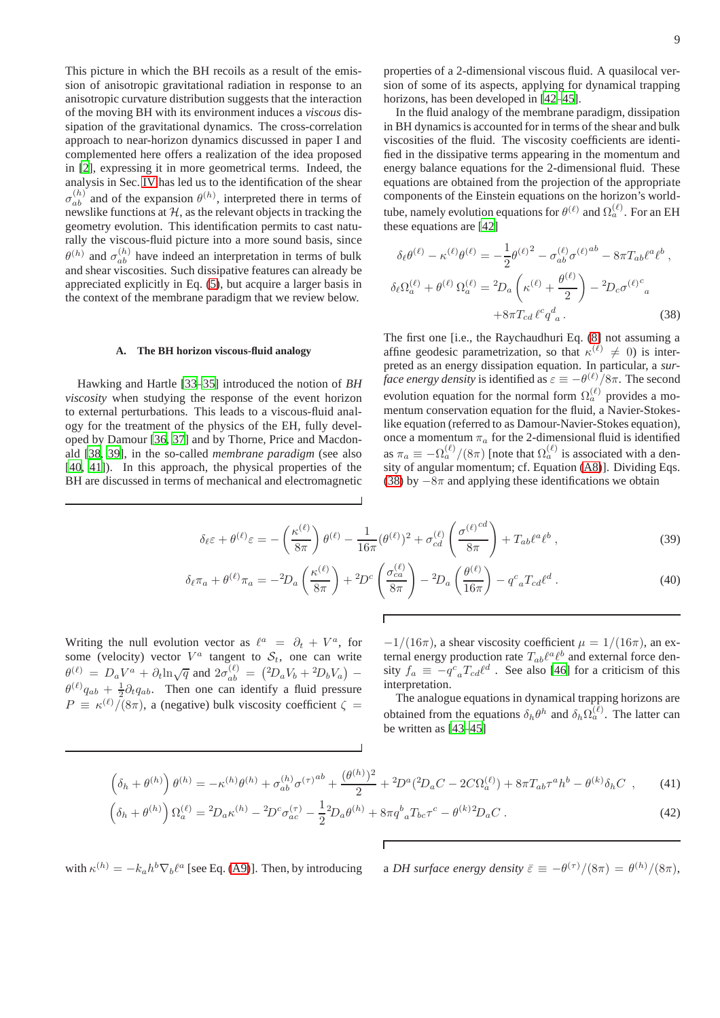This picture in which the BH recoils as a result of the emission of anisotropic gravitational radiation in response to an anisotropic curvature distribution suggests that the interaction of the moving BH with its environment induces a *viscous* dissipation of the gravitational dynamics. The cross-correlation approach to near-horizon dynamics discussed in paper I and complemented here offers a realization of the idea proposed in [\[2\]](#page-13-1), expressing it in more geometrical terms. Indeed, the analysis in Sec. [IV](#page-5-0) has led us to the identification of the shear  $\sigma_{ab}^{(h)}$  and of the expansion  $\theta^{(h)}$ , interpreted there in terms of newslike functions at  $H$ , as the relevant objects in tracking the geometry evolution. This identification permits to cast naturally the viscous-fluid picture into a more sound basis, since  $\theta^{(h)}$  and  $\sigma_{ab}^{(h)}$  have indeed an interpretation in terms of bulk and shear viscosities. Such dissipative features can already be appreciated explicitly in Eq. [\(5\)](#page-2-3), but acquire a larger basis in the context of the membrane paradigm that we review below.

### **A. The BH horizon viscous-fluid analogy**

Hawking and Hartle [\[33](#page-13-29)[–35\]](#page-13-30) introduced the notion of *BH viscosity* when studying the response of the event horizon to external perturbations. This leads to a viscous-fluid analogy for the treatment of the physics of the EH, fully developed by Damour [\[36,](#page-13-31) [37\]](#page-13-32) and by Thorne, Price and Macdonald [\[38](#page-13-33), [39](#page-13-34)], in the so-called *membrane paradigm* (see also [\[40](#page-14-0), [41\]](#page-14-1)). In this approach, the physical properties of the BH are discussed in terms of mechanical and electromagnetic

properties of a 2-dimensional viscous fluid. A quasilocal version of some of its aspects, applying for dynamical trapping horizons, has been developed in [\[42](#page-14-2)[–45\]](#page-14-3).

In the fluid analogy of the membrane paradigm, dissipation in BH dynamics is accounted for in terms of the shear and bulk viscosities of the fluid. The viscosity coefficients are identified in the dissipative terms appearing in the momentum and energy balance equations for the 2-dimensional fluid. These equations are obtained from the projection of the appropriate components of the Einstein equations on the horizon's worldtube, namely evolution equations for  $\theta^{(\ell)}$  and  $\Omega^{(\ell)}_a$ . For an EH these equations are [\[42\]](#page-14-2)

<span id="page-8-0"></span>
$$
\delta_{\ell}\theta^{(\ell)} - \kappa^{(\ell)}\theta^{(\ell)} = -\frac{1}{2}\theta^{(\ell)^2} - \sigma_{ab}^{(\ell)}\sigma^{(\ell)}a^{ab} - 8\pi T_{ab}\ell^a\ell^b,
$$
  

$$
\delta_{\ell}\Omega_a^{(\ell)} + \theta^{(\ell)}\Omega_a^{(\ell)} = {}^2D_a\left(\kappa^{(\ell)} + \frac{\theta^{(\ell)}}{2}\right) - {}^2D_c\sigma^{(\ell)^c}{}_a
$$
  

$$
+8\pi T_{cd}\ell^c q^d{}_a.
$$
 (38)

The first one [i.e., the Raychaudhuri Eq. [\(8\]](#page-3-0) not assuming a affine geodesic parametrization, so that  $\kappa^{(\ell)} \neq 0$ ) is interpreted as an energy dissipation equation. In particular, a *surface energy density* is identified as  $\varepsilon \equiv -\theta^{(\ell)}/8\pi$ . The second evolution equation for the normal form  $\Omega_a^{(\ell)}$  provides a momentum conservation equation for the fluid, a Navier-Stokeslike equation (referred to as Damour-Navier-Stokes equation), once a momentum  $\pi_a$  for the 2-dimensional fluid is identified as  $\pi_a \equiv -\Omega_a^{(\ell)}/(8\pi)$  [note that  $\Omega_a^{(\ell)}$  is associated with a density of angular momentum; cf. Equation [\(A8\)](#page-11-9)]. Dividing Eqs. [\(38\)](#page-8-0) by  $-8\pi$  and applying these identifications we obtain

$$
\delta_{\ell}\varepsilon + \theta^{(\ell)}\varepsilon = -\left(\frac{\kappa^{(\ell)}}{8\pi}\right)\theta^{(\ell)} - \frac{1}{16\pi}(\theta^{(\ell)})^2 + \sigma_{cd}^{(\ell)}\left(\frac{\sigma^{(\ell)}^{cd}}{8\pi}\right) + T_{ab}\ell^a\ell^b,
$$
\n(39)

$$
\delta_{\ell}\pi_a + \theta^{(\ell)}\pi_a = -{}^2D_a\left(\frac{\kappa^{(\ell)}}{8\pi}\right) + {}^2D^c\left(\frac{\sigma_{ca}^{(\ell)}}{8\pi}\right) - {}^2D_a\left(\frac{\theta^{(\ell)}}{16\pi}\right) - q^c{}_aT_{cd}\ell^d.
$$
\n(40)

Writing the null evolution vector as  $\ell^a = \partial_t + V^a$ , for some (velocity) vector  $V^a$  tangent to  $S_t$ , one can write  $\theta^{(\ell)} = D_a V^a + \partial_t \ln \sqrt{q}$  and  $2\sigma_{ab}^{(\ell)} = (2D_a V_b + 2D_b V_a)$  - $\theta^{(\ell)}q_{ab} + \frac{1}{2}\partial_t q_{ab}$ . Then one can identify a fluid pressure  $P \equiv \kappa^{(\ell)}/(8\pi)$ , a (negative) bulk viscosity coefficient  $\zeta =$   $-1/(16\pi)$ , a shear viscosity coefficient  $\mu = 1/(16\pi)$ , an external energy production rate  $T_{ab}\ell^a\ell^b$  and external force density  $f_a \equiv -q^c{}_a T_{cd} \ell^d$ . See also [\[46](#page-14-4)] for a criticism of this interpretation.

The analogue equations in dynamical trapping horizons are obtained from the equations  $\delta_h \theta^h$  and  $\delta_h \Omega_a^{(\ell)}$ . The latter can be written as [\[43](#page-14-5)[–45\]](#page-14-3)

<span id="page-8-1"></span>
$$
\left(\delta_{h} + \theta^{(h)}\right)\theta^{(h)} = -\kappa^{(h)}\theta^{(h)} + \sigma_{ab}^{(h)}\sigma^{(\tau)}^{ab} + \frac{(\theta^{(h)})^{2}}{2} + {}^{2}D^{a}({}^{2}D_{a}C - 2C\Omega_{a}^{(\ell)}) + 8\pi T_{ab}\tau^{a}h^{b} - \theta^{(k)}\delta_{h}C , \qquad (41)
$$
\n
$$
\left(\delta_{h} + \theta^{(h)}\right)\Omega_{a}^{(\ell)} = {}^{2}D_{a}\kappa^{(h)} - {}^{2}D^{c}\sigma_{ac}^{(\tau)} - \frac{1}{2}{}^{2}D_{a}\theta^{(h)} + 8\pi q^{b}{}_{a}T_{bc}\tau^{c} - \theta^{(k)}{}^{2}D_{a}C . \qquad (42)
$$

$$
\left(\delta_h + \theta^{(h)}\right) \Omega_a^{(\ell)} = {}^2D_a \kappa^{(h)} - {}^2D^c \sigma_{ac}^{(\tau)} - \frac{1}{2} {}^2D_a \theta^{(h)} + 8\pi q^b{}_a T_{bc} \tau^c - \theta^{(k)} {}^2D_a C \,. \tag{42}
$$

with  $\kappa^{(h)} = -k_a h^b \nabla_b \ell^a$ 

[see Eq. [\(A9\)](#page-11-3)]. Then, by introducing a *DH surface energy density*  $\bar{\varepsilon} \equiv -\theta^{(\tau)}/(8\pi) = \theta^{(h)}/(8\pi)$ ,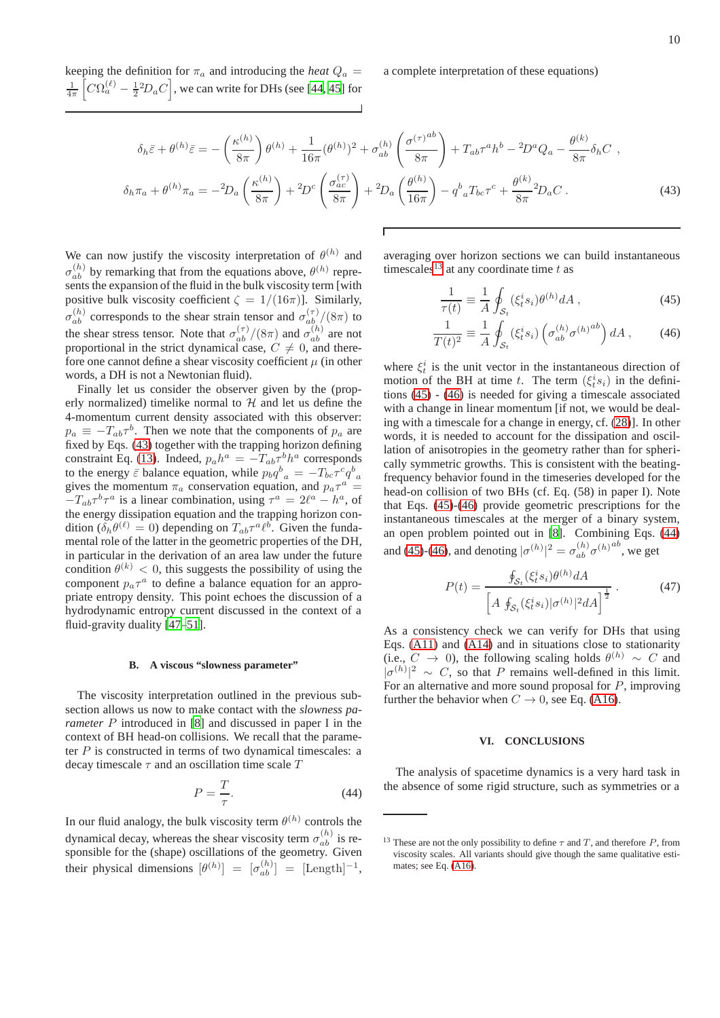keeping the definition for  $\pi_a$  and introducing the *heat*  $Q_a$  =  $\frac{1}{4\pi} \left[ C\Omega_a^{(\ell)} - \frac{1}{2}^2 D_a C \right]$ , we can write for DHs (see [\[44](#page-14-6), [45\]](#page-14-3) for a complete interpretation of these equations)

<span id="page-9-1"></span>
$$
\delta_h \bar{\varepsilon} + \theta^{(h)} \bar{\varepsilon} = -\left(\frac{\kappa^{(h)}}{8\pi}\right) \theta^{(h)} + \frac{1}{16\pi} (\theta^{(h)})^2 + \sigma_{ab}^{(h)} \left(\frac{\sigma^{(\tau)}^{ab}}{8\pi}\right) + T_{ab} \tau^a h^b - 2D^a Q_a - \frac{\theta^{(k)}}{8\pi} \delta_h C ,
$$
  

$$
\delta_h \pi_a + \theta^{(h)} \pi_a = -2D_a \left(\frac{\kappa^{(h)}}{8\pi}\right) + 2D^c \left(\frac{\sigma_{ac}^{(\tau)}}{8\pi}\right) + 2D_a \left(\frac{\theta^{(h)}}{16\pi}\right) - q^b{}_a T_{bc} \tau^c + \frac{\theta^{(k)}}{8\pi} 2D_a C .
$$
 (43)

We can now justify the viscosity interpretation of  $\theta^{(h)}$  and  $\sigma_{ab}^{(h)}$  by remarking that from the equations above,  $\theta^{(h)}$  represents the expansion of the fluid in the bulk viscosity term [with positive bulk viscosity coefficient  $\zeta = 1/(16\pi)$ . Similarly,  $\sigma_{ab}^{(h)}$  corresponds to the shear strain tensor and  $\sigma_{ab}^{(\tau)}/(8\pi)$  to the shear stress tensor. Note that  $\sigma_{ab}^{(\tau)}/(8\pi)$  and  $\sigma_{ab}^{(h)}$  are not proportional in the strict dynamical case,  $C \neq 0$ , and therefore one cannot define a shear viscosity coefficient  $\mu$  (in other words, a DH is not a Newtonian fluid).

Finally let us consider the observer given by the (properly normalized) timelike normal to  $H$  and let us define the 4-momentum current density associated with this observer:  $p_a \equiv -T_{ab}\tau^b$ . Then we note that the components of  $p_a$  are fixed by Eqs. [\(43\)](#page-9-1) together with the trapping horizon defining constraint Eq. [\(13\)](#page-4-1). Indeed,  $p_a h^a = -T_{ab} \tau^b h^a$  corresponds to the energy  $\bar{\varepsilon}$  balance equation, while  $p_b q_{a}^b = -T_{bc} \tau^c q_{a}^b$ gives the momentum  $\pi_a$  conservation equation, and  $p_a \tau^a$  =  $-T_{ab}\tau^b\tau^a$  is a linear combination, using  $\tau^a = 2\ell^a - h^a$ , of the energy dissipation equation and the trapping horizon condition ( $\delta_h \theta^{(\ell)} = 0$ ) depending on  $T_{ab} \tau^a \ell^b$ . Given the fundamental role of the latter in the geometric properties of the DH, in particular in the derivation of an area law under the future condition  $\theta^{(k)} < 0$ , this suggests the possibility of using the component  $p_a \tau^a$  to define a balance equation for an appropriate entropy density. This point echoes the discussion of a hydrodynamic entropy current discussed in the context of a fluid-gravity duality [\[47–](#page-14-7)[51\]](#page-14-8).

### **B. A viscous "slowness parameter"**

The viscosity interpretation outlined in the previous subsection allows us now to make contact with the *slowness parameter* P introduced in [\[8\]](#page-13-6) and discussed in paper I in the context of BH head-on collisions. We recall that the parameter  $P$  is constructed in terms of two dynamical timescales: a decay timescale  $\tau$  and an oscillation time scale  $T$ 

<span id="page-9-4"></span>
$$
P = \frac{T}{\tau}.\tag{44}
$$

In our fluid analogy, the bulk viscosity term  $\theta^{(h)}$  controls the dynamical decay, whereas the shear viscosity term  $\sigma_{ab}^{(h)}$  is responsible for the (shape) oscillations of the geometry. Given their physical dimensions  $[\theta^{(h)}] = [\sigma_{ab}^{(h)}] = [\text{Length}]^{-1}$ , averaging over horizon sections we can build instantaneous timescales<sup>[13](#page-9-2)</sup> at any coordinate time t as

<span id="page-9-3"></span>
$$
\frac{1}{\tau(t)} \equiv \frac{1}{A} \oint_{\mathcal{S}_t} (\xi_t^i s_i) \theta^{(h)} dA , \qquad (45)
$$

$$
\frac{1}{T(t)^2} \equiv \frac{1}{A} \oint_{\mathcal{S}_t} (\xi_t^i s_i) \left( \sigma_{ab}^{(h)} \sigma^{(h)} \right) dA , \qquad (46)
$$

where  $\xi_t^i$  is the unit vector in the instantaneous direction of motion of the BH at time t. The term  $(\xi_t^i s_i)$  in the definitions [\(45\)](#page-9-3) - [\(46\)](#page-9-3) is needed for giving a timescale associated with a change in linear momentum [if not, we would be dealing with a timescale for a change in energy, cf. [\(28\)](#page-6-3)]. In other words, it is needed to account for the dissipation and oscillation of anisotropies in the geometry rather than for spherically symmetric growths. This is consistent with the beatingfrequency behavior found in the timeseries developed for the head-on collision of two BHs (cf. Eq. (58) in paper I). Note that Eqs. [\(45\)](#page-9-3)-[\(46\)](#page-9-3) provide geometric prescriptions for the instantaneous timescales at the merger of a binary system, an open problem pointed out in [\[8\]](#page-13-6). Combining Eqs. [\(44\)](#page-9-4) and [\(45\)](#page-9-3)-[\(46\)](#page-9-3), and denoting  $|\sigma^{(h)}|^2 = \sigma_{ab}^{(h)} \sigma^{(h)}{}^{ab}$ , we get

<span id="page-9-5"></span>
$$
P(t) = \frac{\oint_{\mathcal{S}_t} (\xi_t^i s_i) \theta^{(h)} dA}{\left[ A \oint_{\mathcal{S}_t} (\xi_t^i s_i) | \sigma^{(h)}|^2 dA \right]^{\frac{1}{2}}}.
$$
 (47)

As a consistency check we can verify for DHs that using Eqs. [\(A11\)](#page-11-5) and [\(A14\)](#page-11-8) and in situations close to stationarity (i.e.,  $C \rightarrow 0$ ), the following scaling holds  $\theta^{(h)} \sim C$  and  $|\sigma^{(h)}|^2 \sim C$ , so that P remains well-defined in this limit. For an alternative and more sound proposal for  $P$ , improving further the behavior when  $C \rightarrow 0$ , see Eq. [\(A16\)](#page-12-1).

### <span id="page-9-0"></span>**VI. CONCLUSIONS**

The analysis of spacetime dynamics is a very hard task in the absence of some rigid structure, such as symmetries or a

<span id="page-9-2"></span><sup>&</sup>lt;sup>13</sup> These are not the only possibility to define  $\tau$  and  $T$ , and therefore  $P$ , from viscosity scales. All variants should give though the same qualitative estimates; see Eq. [\(A16\)](#page-12-1).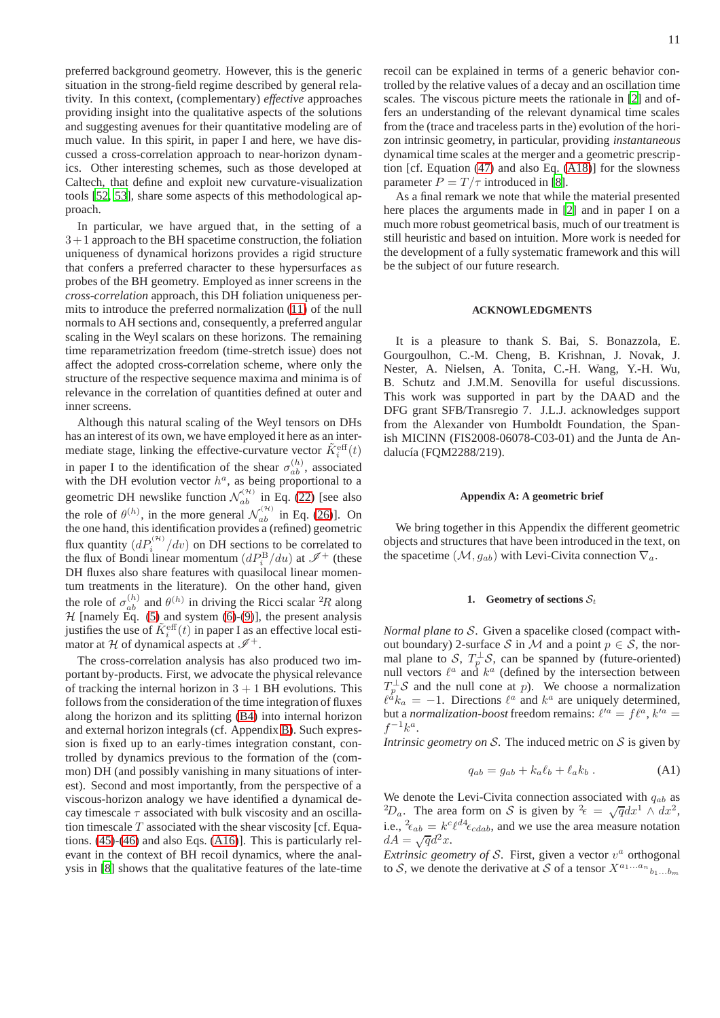preferred background geometry. However, this is the generic situation in the strong-field regime described by general relativity. In this context, (complementary) *effective* approaches providing insight into the qualitative aspects of the solutions and suggesting avenues for their quantitative modeling are of much value. In this spirit, in paper I and here, we have discussed a cross-correlation approach to near-horizon dynamics. Other interesting schemes, such as those developed at Caltech, that define and exploit new curvature-visualization tools [\[52,](#page-14-9) [53\]](#page-14-10), share some aspects of this methodological approach.

In particular, we have argued that, in the setting of a  $3+1$  approach to the BH spacetime construction, the foliation uniqueness of dynamical horizons provides a rigid structure that confers a preferred character to these hypersurfaces as probes of the BH geometry. Employed as inner screens in the *cross-correlation* approach, this DH foliation uniqueness permits to introduce the preferred normalization [\(11\)](#page-4-6) of the null normals to AH sections and, consequently, a preferred angular scaling in the Weyl scalars on these horizons. The remaining time reparametrization freedom (time-stretch issue) does not affect the adopted cross-correlation scheme, where only the structure of the respective sequence maxima and minima is of relevance in the correlation of quantities defined at outer and inner screens.

Although this natural scaling of the Weyl tensors on DHs has an interest of its own, we have employed it here as an intermediate stage, linking the effective-curvature vector  $\tilde{K}_i^{\text{eff}}(t)$ in paper I to the identification of the shear  $\sigma_{ab}^{(h)}$ , associated with the DH evolution vector  $h^a$ , as being proportional to a geometric DH newslike function  $\mathcal{N}_{ab}^{(\mathcal{H})}$  in Eq. [\(22\)](#page-5-5) [see also the role of  $\theta^{(h)}$ , in the more general  $\mathcal{N}_{ab}^{(h)}$  in Eq. [\(26\)](#page-6-2)]. On the one hand, this identification provides a (refined) geometric flux quantity  $\left(dP_i^{(\mathcal{H})}/dv\right)$  on DH sections to be correlated to the flux of Bondi linear momentum  $(dP_i^B/du)$  at  $\mathscr{I}^+$  (these DH fluxes also share features with quasilocal linear momentum treatments in the literature). On the other hand, given the role of  $\sigma_{ab}^{(h)}$  and  $\theta^{(h)}$  in driving the Ricci scalar <sup>2</sup>R along  $H$  [namely Eq. [\(5\)](#page-2-3) and system [\(6\)](#page-3-0)-[\(9\)](#page-3-0)], the present analysis justifies the use of  $\tilde{K}^{\text{eff}}_i(t)$  in paper I as an effective local estimator at H of dynamical aspects at  $\mathscr{I}^+$ .

The cross-correlation analysis has also produced two important by-products. First, we advocate the physical relevance of tracking the internal horizon in  $3 + 1$  BH evolutions. This follows from the consideration of the time integration of fluxes along the horizon and its splitting [\(B4\)](#page-13-35) into internal horizon and external horizon integrals (cf. Appendix [B\)](#page-12-0). Such expression is fixed up to an early-times integration constant, controlled by dynamics previous to the formation of the (common) DH (and possibly vanishing in many situations of interest). Second and most importantly, from the perspective of a viscous-horizon analogy we have identified a dynamical decay timescale  $\tau$  associated with bulk viscosity and an oscillation timescale  $T$  associated with the shear viscosity [cf. Equations. [\(45\)](#page-9-3)-[\(46\)](#page-9-3) and also Eqs. [\(A16\)](#page-12-1)]. This is particularly relevant in the context of BH recoil dynamics, where the analysis in [\[8\]](#page-13-6) shows that the qualitative features of the late-time recoil can be explained in terms of a generic behavior controlled by the relative values of a decay and an oscillation time scales. The viscous picture meets the rationale in [\[2\]](#page-13-1) and offers an understanding of the relevant dynamical time scales from the (trace and traceless parts in the) evolution of the horizon intrinsic geometry, in particular, providing *instantaneous* dynamical time scales at the merger and a geometric prescription [cf. Equation [\(47\)](#page-9-5) and also Eq. [\(A18\)](#page-12-2)] for the slowness parameter  $P = T/\tau$  introduced in [\[8\]](#page-13-6).

As a final remark we note that while the material presented here places the arguments made in [\[2\]](#page-13-1) and in paper I on a much more robust geometrical basis, much of our treatment is still heuristic and based on intuition. More work is needed for the development of a fully systematic framework and this will be the subject of our future research.

# **ACKNOWLEDGMENTS**

It is a pleasure to thank S. Bai, S. Bonazzola, E. Gourgoulhon, C.-M. Cheng, B. Krishnan, J. Novak, J. Nester, A. Nielsen, A. Tonita, C.-H. Wang, Y.-H. Wu, B. Schutz and J.M.M. Senovilla for useful discussions. This work was supported in part by the DAAD and the DFG grant SFB/Transregio 7. J.L.J. acknowledges support from the Alexander von Humboldt Foundation, the Spanish MICINN (FIS2008-06078-C03-01) and the Junta de Andalucía (FQM2288/219).

# <span id="page-10-0"></span>**Appendix A: A geometric brief**

We bring together in this Appendix the different geometric objects and structures that have been introduced in the text, on the spacetime  $(\mathcal{M}, q_{ab})$  with Levi-Civita connection  $\nabla_a$ .

# **1.** Geometry of sections  $S_t$

*Normal plane to* S. Given a spacelike closed (compact without boundary) 2-surface S in M and a point  $p \in S$ , the normal plane to S,  $T_p^{\perp}S$ , can be spanned by (future-oriented) null vectors  $\ell^a$  and  $k^a$  (defined by the intersection between  $T_p^{\perp}$ S and the null cone at p). We choose a normalization  $\ell^{\dot{a}}k_a = -1$ . Directions  $\ell^a$  and  $k^a$  are uniquely determined, but a *normalization-boost* freedom remains:  $\ell'^a = f\ell^a$ ,  $k'^a =$  $f^{-1}k^a$ .

*Intrinsic geometry on* S. The induced metric on S is given by

$$
q_{ab} = g_{ab} + k_a \ell_b + \ell_a k_b . \tag{A1}
$$

We denote the Levi-Civita connection associated with  $q_{ab}$  as <sup>2</sup>D<sub>a</sub>. The area form on S is given by <sup>2</sup> $\epsilon = \sqrt{q}dx^1 \wedge dx^2$ , i.e.,  $^{2} \epsilon_{ab} = k^{c} \ell^{d} \epsilon_{cdab}$ , and we use the area measure notation  $d\vec{A} = \sqrt{q}d^2x.$ 

*Extrinsic geometry of S.* First, given a vector  $v^a$  orthogonal to S, we denote the derivative at S of a tensor  $X^{a_1...a_n}$ <sub>b1</sub>...b<sub>m</sub>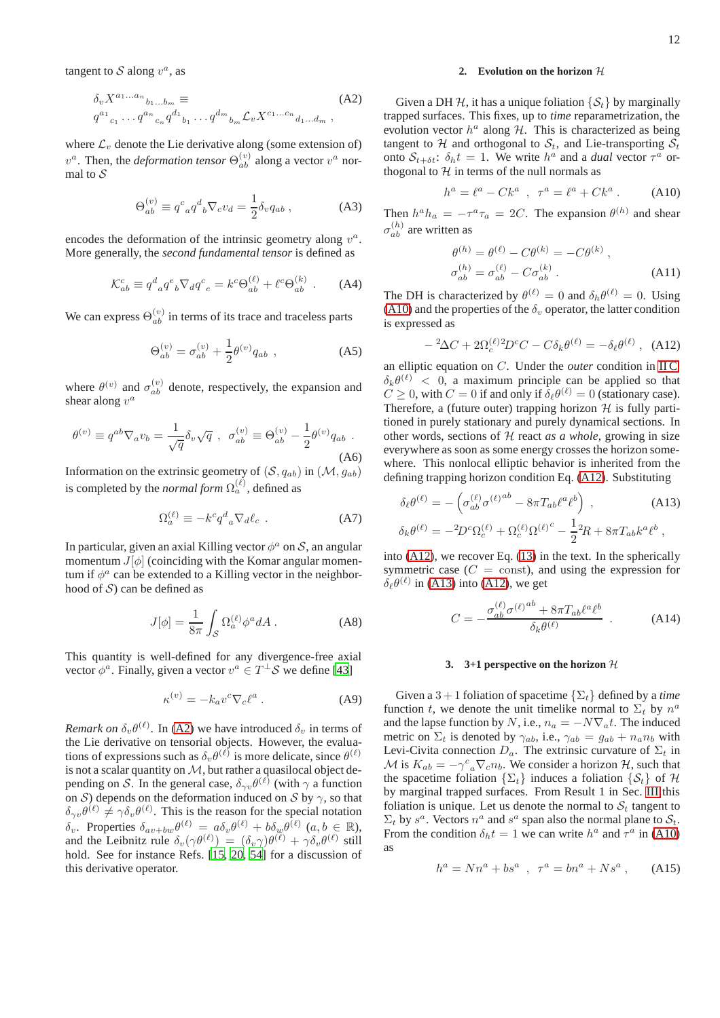tangent to S along  $v^a$ , as

<span id="page-11-2"></span>
$$
\delta_v X^{a_1...a_n}{}_{b_1...b_m} \equiv
$$
\n
$$
q^{a_1}{}_{c_1} \cdots q^{a_n}{}_{c_n} q^{d_1}{}_{b_1} \cdots q^{d_m}{}_{b_m} \mathcal{L}_v X^{c_1...c_n}{}_{d_1...d_m} ,
$$
\n(A2)

where  $\mathcal{L}_v$  denote the Lie derivative along (some extension of)  $v^a$ . Then, the *deformation tensor*  $\Theta_{ab}^{(v)}$  along a vector  $v^a$  normal to  $\mathcal S$ 

<span id="page-11-0"></span>
$$
\Theta_{ab}^{(v)} \equiv q^c{}_a q^d{}_b \nabla_c v_d = \frac{1}{2} \delta_v q_{ab} , \qquad (A3)
$$

encodes the deformation of the intrinsic geometry along  $v^a$ . More generally, the *second fundamental tensor* is defined as

$$
\mathcal{K}_{ab}^c \equiv q^d{}_a q^e{}_b \nabla_d q^c{}_e = k^c \Theta_{ab}^{(\ell)} + \ell^c \Theta_{ab}^{(k)} \ . \tag{A4}
$$

We can express  $\Theta_{ab}^{(v)}$  in terms of its trace and traceless parts

$$
\Theta_{ab}^{(v)} = \sigma_{ab}^{(v)} + \frac{1}{2} \theta^{(v)} q_{ab} , \qquad (A5)
$$

where  $\theta^{(v)}$  and  $\sigma_{ab}^{(v)}$  denote, respectively, the expansion and shear along  $v^a$ 

<span id="page-11-1"></span>
$$
\theta^{(v)} \equiv q^{ab} \nabla_a v_b = \frac{1}{\sqrt{q}} \delta_v \sqrt{q} \ , \ \sigma_{ab}^{(v)} \equiv \Theta_{ab}^{(v)} - \frac{1}{2} \theta^{(v)} q_{ab} \ .
$$
\n(A6)

Information on the extrinsic geometry of  $(S, q_{ab})$  in  $(\mathcal{M}, g_{ab})$ is completed by the *normal form*  $\Omega_a^{(\ell)}$ , defined as

$$
\Omega_a^{(\ell)} \equiv -k^c q^d{}_a \nabla_d \ell_c \ . \tag{A7}
$$

In particular, given an axial Killing vector  $\phi^a$  on S, an angular momentum  $J[\phi]$  (coinciding with the Komar angular momentum if  $\phi^a$  can be extended to a Killing vector in the neighborhood of  $S$ ) can be defined as

<span id="page-11-9"></span>
$$
J[\phi] = \frac{1}{8\pi} \int_{\mathcal{S}} \Omega_a^{(\ell)} \phi^a dA \,. \tag{A8}
$$

This quantity is well-defined for any divergence-free axial vector  $\phi^a$ . Finally, given a vector  $v^a \in T^{\perp} \mathcal{S}$  we define [\[43](#page-14-5)]

<span id="page-11-3"></span>
$$
\kappa^{(v)} = -k_a v^c \nabla_c \ell^a \ . \tag{A9}
$$

*Remark on*  $\delta_v \theta^{(\ell)}$ . In [\(A2\)](#page-11-2) we have introduced  $\delta_v$  in terms of the Lie derivative on tensorial objects. However, the evaluations of expressions such as  $\delta_v \theta^{(\ell)}$  is more delicate, since  $\theta^{(\ell)}$ is not a scalar quantity on  $M$ , but rather a quasilocal object depending on S. In the general case,  $\delta_{\gamma v} \theta^{(\ell)}$  (with  $\gamma$  a function on S) depends on the deformation induced on S by  $\gamma$ , so that  $\delta_{\gamma v} \theta^{(\ell)} \neq \gamma \delta_v \theta^{(\ell)}$ . This is the reason for the special notation  $\delta_v$ . Properties  $\delta_{av+bw} \theta^{(\ell)} = a \delta_v \theta^{(\ell)} + b \delta_w \theta^{(\ell)}$   $(a, b \in \mathbb{R})$ and the Leibnitz rule  $\delta_v(\gamma\theta^{(\ell)}) = (\delta_v\gamma)\theta^{(\ell)} + \gamma\delta_v\theta^{(\ell)}$  still hold. See for instance Refs. [\[15,](#page-13-11) [20](#page-13-17), [54\]](#page-14-11) for a discussion of this derivative operator.

# **2.** Evolution on the horizon  $H$

Given a DH H, it has a unique foliation  $\{S_t\}$  by marginally trapped surfaces. This fixes, up to *time* reparametrization, the evolution vector  $h^a$  along  $H$ . This is characterized as being tangent to  $H$  and orthogonal to  $S_t$ , and Lie-transporting  $S_t$ onto  $S_{t+\delta t}$ :  $\delta_h t = 1$ . We write  $h^a$  and a *dual* vector  $\tau^a$  orthogonal to  $H$  in terms of the null normals as

<span id="page-11-6"></span>
$$
h^{a} = \ell^{a} - Ck^{a} \, , \, \tau^{a} = \ell^{a} + Ck^{a} \, . \tag{A10}
$$

Then  $h^a h_a = -\tau^a \tau_a = 2C$ . The expansion  $\theta^{(h)}$  and shear  $\sigma_{ab}^{(h)}$  are written as

<span id="page-11-5"></span>
$$
\theta^{(h)} = \theta^{(\ell)} - C\theta^{(k)} = -C\theta^{(k)} ,
$$
  
\n
$$
\sigma_{ab}^{(h)} = \sigma_{ab}^{(\ell)} - C\sigma_{ab}^{(k)} .
$$
\n(A11)

The DH is characterized by  $\theta^{(\ell)} = 0$  and  $\delta_h \theta^{(\ell)} = 0$ . Using [\(A10\)](#page-11-6) and the properties of the  $\delta_v$  operator, the latter condition is expressed as

<span id="page-11-4"></span>
$$
-{}^{2}\Delta C + 2\Omega_c^{(\ell)}{}^{2}D^c C - C\delta_k\theta^{(\ell)} = -\delta_\ell\theta^{(\ell)} , \quad (A12)
$$

an elliptic equation on C. Under the *outer* condition in [II C,](#page-2-6)  $\delta_k \theta^{(\ell)}$  < 0, a maximum principle can be applied so that  $C \ge 0$ , with  $C = 0$  if and only if  $\delta_{\ell} \theta^{(\ell)} = 0$  (stationary case). Therefore, a (future outer) trapping horizon  $H$  is fully partitioned in purely stationary and purely dynamical sections. In other words, sections of  $H$  react *as a whole*, growing in size everywhere as soon as some energy crosses the horizon somewhere. This nonlocal elliptic behavior is inherited from the defining trapping horizon condition Eq. [\(A12\)](#page-11-4). Substituting

<span id="page-11-10"></span>
$$
\delta_{\ell}\theta^{(\ell)} = -\left(\sigma_{ab}^{(\ell)}\sigma^{(\ell)}{}^{ab} - 8\pi T_{ab}\ell^a\ell^b\right) ,\qquad (A13)
$$

$$
\delta_k\theta^{(\ell)} = -{}^2D^c\Omega_c^{(\ell)} + \Omega_c^{(\ell)}\Omega^{(\ell)^c} - \frac{1}{2}{}^2R + 8\pi T_{ab}k^a\ell^b ,
$$

into [\(A12\)](#page-11-4), we recover Eq. [\(13\)](#page-4-1) in the text. In the spherically symmetric case  $(C = \text{const})$ , and using the expression for  $\delta_{\ell} \theta^{(\ell)}$  in [\(A13\)](#page-11-10) into [\(A12\)](#page-11-4), we get

<span id="page-11-8"></span>
$$
C = -\frac{\sigma_{ab}^{(\ell)}\sigma^{(\ell)}^{ab} + 8\pi T_{ab}\ell^a\ell^b}{\delta_k\theta^{(\ell)}}.
$$
 (A14)

### **3. 3+1 perspective on the horizon** H

Given a  $3 + 1$  foliation of spacetime  $\{\Sigma_t\}$  defined by a *time* function t, we denote the unit timelike normal to  $\Sigma_t$  by  $n^a$ and the lapse function by N, i.e.,  $n_a = -N\nabla_a t$ . The induced metric on  $\Sigma_t$  is denoted by  $\gamma_{ab}$ , i.e.,  $\gamma_{ab} = g_{ab} + n_a n_b$  with Levi-Civita connection  $D_a$ . The extrinsic curvature of  $\Sigma_t$  in M is  $K_{ab} = -\gamma^c{}_a \nabla_c n_b$ . We consider a horizon H, such that the spacetime foliation  $\{\Sigma_t\}$  induces a foliation  $\{\mathcal{S}_t\}$  of H by marginal trapped surfaces. From Result 1 in Sec. [III](#page-4-0) this foliation is unique. Let us denote the normal to  $S_t$  tangent to  $\Sigma_t$  by  $s^a$ . Vectors  $n^a$  and  $s^a$  span also the normal plane to  $S_t$ . From the condition  $\delta_h t = 1$  we can write  $h^a$  and  $\tau^a$  in [\(A10\)](#page-11-6) as

<span id="page-11-7"></span>
$$
h^{a} = Nn^{a} + bs^{a} , \ \tau^{a} = bn^{a} + Ns^{a} , \quad (A15)
$$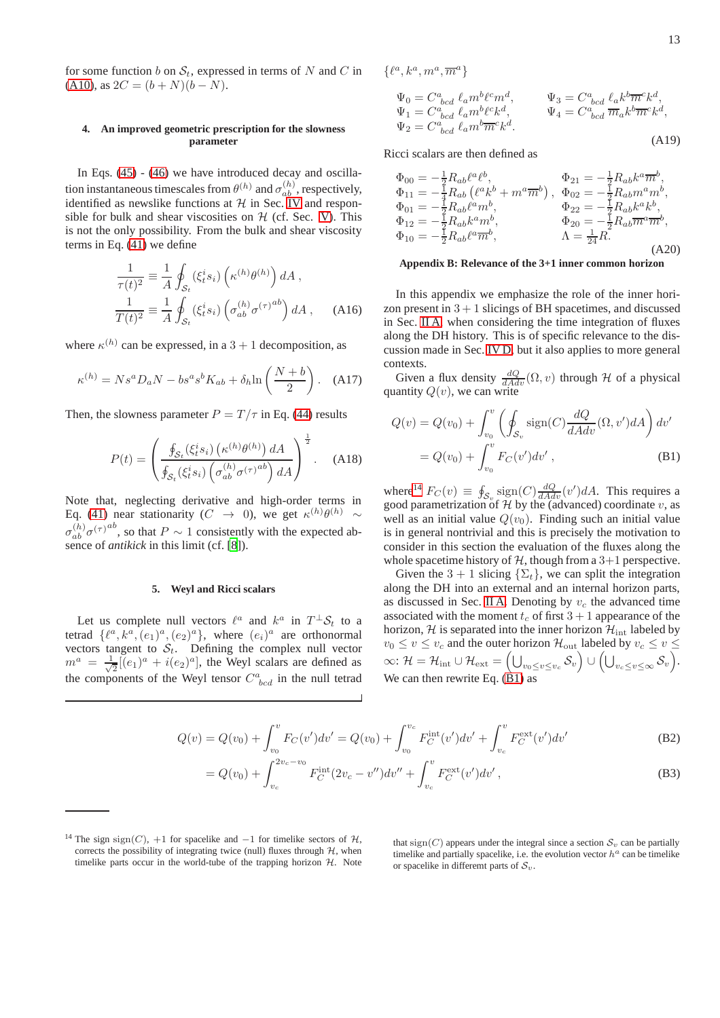for some function b on  $S_t$ , expressed in terms of N and C in [\(A10\)](#page-11-6), as  $2C = (b + N)(b - N)$ .

# **4. An improved geometric prescription for the slowness parameter**

In Eqs. [\(45\)](#page-9-3) - [\(46\)](#page-9-3) we have introduced decay and oscillation instantaneous timescales from  $\theta^{(h)}$  and  $\sigma_{ab}^{(h)}$ , respectively, identified as newslike functions at  $H$  in Sec. [IV](#page-5-0) and responsible for bulk and shear viscosities on  $H$  (cf. Sec. [V\)](#page-7-0). This is not the only possibility. From the bulk and shear viscosity terms in Eq. [\(41\)](#page-8-1) we define

<span id="page-12-1"></span>
$$
\frac{1}{\tau(t)^2} \equiv \frac{1}{A} \oint_{\mathcal{S}_t} (\xi_t^i s_i) \left(\kappa^{(h)} \theta^{(h)}\right) dA ,
$$
  

$$
\frac{1}{T(t)^2} \equiv \frac{1}{A} \oint_{\mathcal{S}_t} (\xi_t^i s_i) \left(\sigma_{ab}^{(h)} \sigma^{(\tau)} \right) dA , \quad \text{(A16)}
$$

where  $\kappa^{(h)}$  can be expressed, in a  $3 + 1$  decomposition, as

$$
\kappa^{(h)} = N s^a D_a N - b s^a s^b K_{ab} + \delta_h \ln\left(\frac{N+b}{2}\right). \quad (A17)
$$

Then, the slowness parameter  $P = T/\tau$  in Eq. [\(44\)](#page-9-4) results

<span id="page-12-2"></span>
$$
P(t) = \left(\frac{\oint_{\mathcal{S}_t} (\xi_t^i s_i) \left(\kappa^{(h)} \theta^{(h)}\right) dA}{\oint_{\mathcal{S}_t} (\xi_t^i s_i) \left(\sigma_{ab}^{(h)} \sigma^{(\tau)}\right)^{ab}\right) dA}\right)^{\frac{1}{2}}.
$$
 (A18)

Note that, neglecting derivative and high-order terms in Eq. [\(41\)](#page-8-1) near stationarity ( $C \rightarrow 0$ ), we get  $\kappa^{(h)} \theta^{(h)} \sim$  $\sigma_{ab}^{(h)} \sigma^{(\tau)}$ <sup>ab</sup>, so that  $P \sim 1$  consistently with the expected absence of *antikick* in this limit (cf. [\[8](#page-13-6)]).

# **5. Weyl and Ricci scalars**

Let us complete null vectors  $\ell^a$  and  $k^a$  in  $T^{\perp}S_t$  to a tetrad  $\{\ell^a, k^a, (e_1)^a, (e_2)^a\}$ , where  $(e_i)^a$  are orthonormal vectors tangent to  $S_t$ . Defining the complex null vector  $m^a = \frac{1}{\sqrt{2}}$  $\frac{1}{2}[(e_1)^a + i(e_2)^a]$ , the Weyl scalars are defined as the components of the Weyl tensor  $C^a_{\text{bcd}}$  in the null tetrad

 $\{\ell^a, k^a, m^a, \overline{m}^a\}$ 

$$
\Psi_0 = C^a_{\quad bcd} \ell_a m^b \ell^c m^d, \qquad \Psi_3 = C^a_{\quad bcd} \ell_a k^b \overline{m}^c k^d, \n\Psi_1 = C^a_{\quad bcd} \ell_a m^b \ell^c k^d, \qquad \Psi_4 = C^a_{\quad bcd} \overline{m}_a k^b \overline{m}^c k^d, \n\Psi_2 = C^a_{\quad bcd} \ell_a m^b \overline{m}^c k^d.
$$
\n(A19)

Ricci scalars are then defined as

$$
\Phi_{00} = -\frac{1}{2} R_{ab} \ell^a \ell^b, \n\Phi_{11} = -\frac{1}{4} R_{ab} \left( \ell^a k^b + m^a \overline{m}^b \right), \n\Phi_{02} = -\frac{1}{2} R_{ab} n^a m^b, \n\Phi_{01} = -\frac{1}{2} R_{ab} \ell^a m^b, \n\Phi_{12} = -\frac{1}{2} R_{ab} k^a m^b, \n\Phi_{22} = -\frac{1}{2} R_{ab} k^a k^b, \n\Phi_{10} = -\frac{1}{2} R_{ab} k^a \overline{m}^b, \n\Phi_{20} = -\frac{1}{2} R_{ab} n^a \overline{m}^b, \n\Lambda = \frac{1}{24} R.
$$
\n(A20)

### <span id="page-12-0"></span>**Appendix B: Relevance of the 3+1 inner common horizon**

In this appendix we emphasize the role of the inner horizon present in  $3 + 1$  slicings of BH spacetimes, and discussed in Sec. [II A,](#page-1-4) when considering the time integration of fluxes along the DH history. This is of specific relevance to the discussion made in Sec. [IV D,](#page-7-6) but it also applies to more general contexts.

Given a flux density  $\frac{dQ}{dAdv}(\Omega, v)$  through H of a physical quantity  $Q(v)$ , we can write

<span id="page-12-4"></span>
$$
Q(v) = Q(v_0) + \int_{v_0}^{v} \left( \oint_{S_v} \text{sign}(C) \frac{dQ}{dA dv} (\Omega, v') dA \right) dv'
$$
  
=  $Q(v_0) + \int_{v_0}^{v} F_C(v') dv'$ , (B1)

where<sup>[14](#page-12-3)</sup>  $F_C(v) \equiv \oint_{S_v} \frac{\text{sign}(C) \frac{dQ}{dAdv}(v') dA}$ . This requires a good parametrization of  $H$  by the (advanced) coordinate v, as well as an initial value  $Q(v_0)$ . Finding such an initial value is in general nontrivial and this is precisely the motivation to consider in this section the evaluation of the fluxes along the whole spacetime history of  $H$ , though from a 3+1 perspective.

Given the 3 + 1 slicing  $\{\Sigma_t\}$ , we can split the integration along the DH into an external and an internal horizon parts, as discussed in Sec. [II A.](#page-1-4) Denoting by  $v_c$  the advanced time associated with the moment  $t_c$  of first  $3 + 1$  appearance of the horizon,  $H$  is separated into the inner horizon  $H_{int}$  labeled by  $v_0 \leq v \leq v_c$  and the outer horizon  $\mathcal{H}_{\mathrm{out}}$  labeled by  $v_c \leq v \leq$  $\infty{:}~ {\cal H} = {\cal H}_{\rm int} \cup {\cal H}_{\rm ext} = \Bigl( {\textstyle \bigcup}_{v_0 \leq v \leq v_c} {\cal S}_v \Bigr) \cup \Bigl( {\textstyle \bigcup}_{v_c \leq v \leq \infty} {\cal S}_v \Bigr).$ We can then rewrite Eq.  $(\hat{B}1)$  as

<span id="page-12-5"></span>
$$
Q(v) = Q(v_0) + \int_{v_0}^{v} F_C(v')dv' = Q(v_0) + \int_{v_0}^{v_c} F_C^{\text{int}}(v')dv' + \int_{v_c}^{v} F_C^{\text{ext}}(v')dv'
$$
(B2)

$$
= Q(v_0) + \int_{v_c}^{2v_c - v_0} F_C^{\text{int}}(2v_c - v'')dv'' + \int_{v_c}^v F_C^{\text{ext}}(v')dv', \tag{B3}
$$

that sign(C) appears under the integral since a section  $S_v$  can be partially timelike and partially spacelike, i.e. the evolution vector  $h^a$  can be timelike or spacelike in different parts of  $S_v$ .

<span id="page-12-3"></span><sup>&</sup>lt;sup>14</sup> The sign sign(C), +1 for spacelike and  $-1$  for timelike sectors of  $H$ , corrects the possibility of integrating twice (null) fluxes through  $H$ , when timelike parts occur in the world-tube of the trapping horizon  $H$ . Note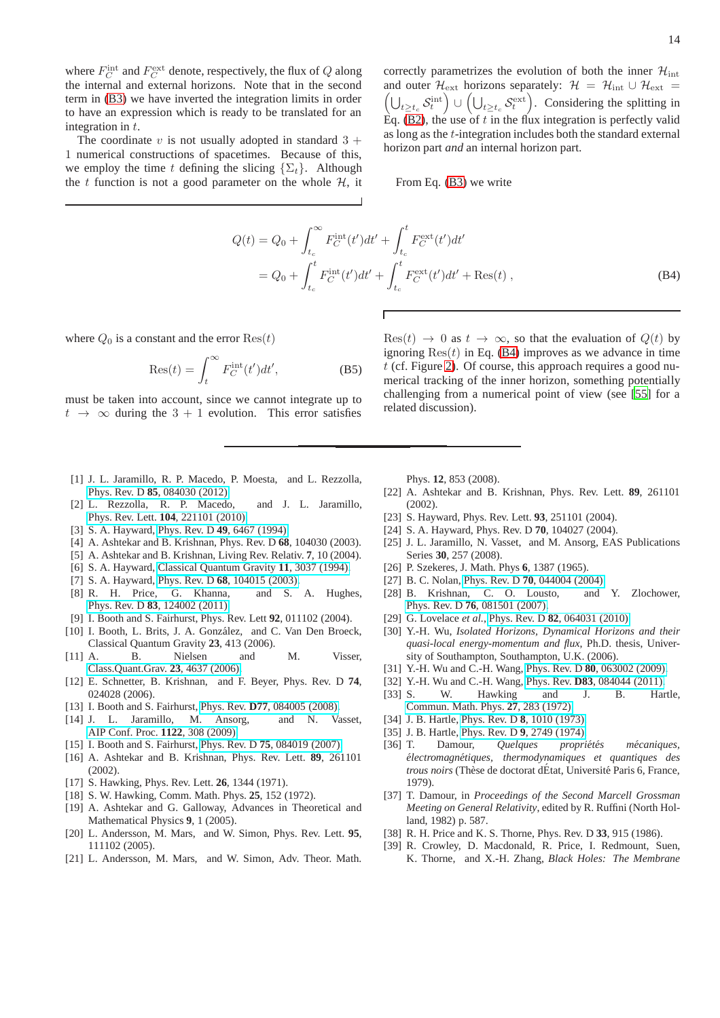where  $F_C^{\text{int}}$  and  $F_C^{\text{ext}}$  denote, respectively, the flux of Q along the internal and external horizons. Note that in the second term in [\(B3\)](#page-12-5) we have inverted the integration limits in order to have an expression which is ready to be translated for an integration in t.

The coordinate v is not usually adopted in standard  $3 +$ 1 numerical constructions of spacetimes. Because of this, we employ the time t defining the slicing  $\{\Sigma_t\}$ . Although the t function is not a good parameter on the whole  $H$ , it correctly parametrizes the evolution of both the inner  $\mathcal{H}_{\text{int}}$ and outer  $\mathcal{H}_{ext}$  horizons separately:  $\mathcal{H} = \mathcal{H}_{int} \cup \mathcal{H}_{ext}$  $\left(\bigcup_{t\geq t_c} \mathcal{S}_t^{\text{int}}\right) \cup \left(\bigcup_{t\geq t_c} \mathcal{S}_t^{\text{ext}}\right)$ . Considering the splitting in Eq. [\(B2\)](#page-12-5), the use of  $t$  in the flux integration is perfectly valid as long as the t-integration includes both the standard external horizon part *and* an internal horizon part.

From Eq. [\(B3\)](#page-12-5) we write

<span id="page-13-35"></span>
$$
Q(t) = Q_0 + \int_{t_c}^{\infty} F_C^{\text{int}}(t')dt' + \int_{t_c}^{t} F_C^{\text{ext}}(t')dt'
$$
  
=  $Q_0 + \int_{t_c}^{t} F_C^{\text{int}}(t')dt' + \int_{t_c}^{t} F_C^{\text{ext}}(t')dt' + \text{Res}(t)$ , (B4)

where  $Q_0$  is a constant and the error  $\text{Res}(t)$ 

$$
Res(t) = \int_{t}^{\infty} F_C^{\text{int}}(t')dt', \tag{B5}
$$

must be taken into account, since we cannot integrate up to  $t \rightarrow \infty$  during the 3 + 1 evolution. This error satisfies

 $\text{Res}(t) \rightarrow 0$  as  $t \rightarrow \infty$ , so that the evaluation of  $Q(t)$  by ignoring  $\text{Res}(t)$  in Eq. [\(B4\)](#page-13-35) improves as we advance in time  $t$  (cf. Figure [2\)](#page-2-1). Of course, this approach requires a good numerical tracking of the inner horizon, something potentially challenging from a numerical point of view (see [\[55\]](#page-14-12) for a related discussion).

- <span id="page-13-0"></span>[1] J. L. Jaramillo, R. P. Macedo, P. Moesta, and L. Rezzolla, Phys. Rev. D **85**[, 084030 \(2012\).](http://dx.doi.org/10.1103/PhysRevD.85.084030)
- <span id="page-13-1"></span>[2] L. Rezzolla, R. P. Macedo, and J. L. Jaramillo, Phys. Rev. Lett. **104**[, 221101 \(2010\).](http://dx.doi.org/10.1103/PhysRevLett.104.221101)
- <span id="page-13-2"></span>[3] S. A. Hayward, Phys. Rev. D **49**[, 6467 \(1994\).](http://dx.doi.org/10.1103/PhysRevD.49.6467)
- <span id="page-13-12"></span>[4] A. Ashtekar and B. Krishnan, Phys. Rev. D **68**, 104030 (2003).
- <span id="page-13-3"></span>[5] A. Ashtekar and B. Krishnan, Living Rev. Relativ. **7**, 10 (2004).
- <span id="page-13-4"></span>[6] S. A. Hayward, [Classical Quantum Gravity](http://stacks.iop.org/0264-9381/11/i=12/a=017) **11**, 3037 (1994).
- <span id="page-13-5"></span>[7] S. A. Hayward, Phys. Rev. D **68**[, 104015 \(2003\).](http://dx.doi.org/10.1103/PhysRevD.68.104015)
- <span id="page-13-6"></span>[8] R. H. Price, G. Khanna, and S. A. Hughes, Phys. Rev. D **83**[, 124002 \(2011\).](http://dx.doi.org/10.1103/PhysRevD.83.124002)
- <span id="page-13-7"></span>[9] I. Booth and S. Fairhurst, Phys. Rev. Lett **92**, 011102 (2004).
- <span id="page-13-8"></span>[10] I. Booth, L. Brits, J. A. González, and C. Van Den Broeck, Classical Quantum Gravity **23**, 413 (2006).
- [11] A. B. Nielsen and M. Visser, [Class.Quant.Grav.](http://dx.doi.org/10.1088/0264-9381/23/14/006) **23**, 4637 (2006).
- <span id="page-13-10"></span>[12] E. Schnetter, B. Krishnan, and F. Beyer, Phys. Rev. D **74**, 024028 (2006).
- [13] I. Booth and S. Fairhurst, Phys. Rev. **D77**[, 084005 \(2008\).](http://dx.doi.org/10.1103/PhysRevD.77.084005)
- <span id="page-13-9"></span>[14] J. L. Jaramillo, M. Ansorg, and N. Vasset, [AIP Conf. Proc.](http://dx.doi.org/10.1063/1.3141305) **1122**, 308 (2009).
- <span id="page-13-11"></span>[15] I. Booth and S. Fairhurst, Phys. Rev. D **75**[, 084019 \(2007\).](http://dx.doi.org/10.1103/PhysRevD.75.084019)
- <span id="page-13-13"></span>[16] A. Ashtekar and B. Krishnan, Phys. Rev. Lett. **89**, 261101 (2002).
- <span id="page-13-14"></span>[17] S. Hawking, Phys. Rev. Lett. **26**, 1344 (1971).
- <span id="page-13-15"></span>[18] S. W. Hawking, Comm. Math. Phys. **25**, 152 (1972).
- <span id="page-13-16"></span>[19] A. Ashtekar and G. Galloway, Advances in Theoretical and Mathematical Physics **9**, 1 (2005).
- <span id="page-13-17"></span>[20] L. Andersson, M. Mars, and W. Simon, Phys. Rev. Lett. **95**, 111102 (2005).
- <span id="page-13-18"></span>[21] L. Andersson, M. Mars, and W. Simon, Adv. Theor. Math.

Phys. **12**, 853 (2008).

- <span id="page-13-19"></span>[22] A. Ashtekar and B. Krishnan, Phys. Rev. Lett. **89**, 261101 (2002).
- <span id="page-13-20"></span>[23] S. Hayward, Phys. Rev. Lett. **93**, 251101 (2004).
- <span id="page-13-21"></span>[24] S. A. Hayward, Phys. Rev. D **70**, 104027 (2004).
- <span id="page-13-24"></span>[25] J. L. Jaramillo, N. Vasset, and M. Ansorg, EAS Publications Series **30**, 257 (2008).
- <span id="page-13-22"></span>[26] P. Szekeres, J. Math. Phys **6**, 1387 (1965).
- <span id="page-13-23"></span>[27] B. C. Nolan, Phys. Rev. D **70**[, 044004 \(2004\).](http://dx.doi.org/10.1103/PhysRevD.70.044004)
- <span id="page-13-25"></span>[28] B. Krishnan, C. O. Lousto, and Y. Zlochower, Phys. Rev. D **76**[, 081501 \(2007\).](http://dx.doi.org/10.1103/PhysRevD.76.081501)
- <span id="page-13-26"></span>[29] G. Lovelace *et al.*, Phys. Rev. D **82**[, 064031 \(2010\).](http://dx.doi.org/10.1103/PhysRevD.82.064031)
- <span id="page-13-27"></span>[30] Y.-H. Wu, *Isolated Horizons, Dynamical Horizons and their quasi-local energy-momentum and flux*, Ph.D. thesis, University of Southampton, Southampton, U.K. (2006).
- [31] Y.-H. Wu and C.-H. Wang, Phys. Rev. D **80**[, 063002 \(2009\).](http://dx.doi.org/10.1103/PhysRevD.80.063002)
- <span id="page-13-28"></span>[32] Y.-H. Wu and C.-H. Wang, Phys. Rev. **D83**[, 084044 \(2011\).](http://dx.doi.org/10.1103/PhysRevD.83.084044)
- <span id="page-13-29"></span>[33] S. W. Hawking and J. B. Hartle, [Commun. Math. Phys.](http://dx.doi.org/10.1007/BF01645515) **27**, 283 (1972).
- [34] J. B. Hartle, Phys. Rev. D **8**[, 1010 \(1973\).](http://dx.doi.org/10.1103/PhysRevD.8.1010)
- <span id="page-13-30"></span>[35] J. B. Hartle, Phys. Rev. D **9**[, 2749 \(1974\).](http://dx.doi.org/10.1103/PhysRevD.9.2749)
- <span id="page-13-31"></span>[36] T. Damour, *Quelques propriétés mécaniques*, *´electromagn´etiques, thermodynamiques et quantiques des trous noirs* (Thèse de doctorat dÉtat, Université Paris 6, France, 1979).
- <span id="page-13-32"></span>[37] T. Damour, in *Proceedings of the Second Marcell Grossman Meeting on General Relativity*, edited by R. Ruffini (North Holland, 1982) p. 587.
- <span id="page-13-33"></span>[38] R. H. Price and K. S. Thorne, Phys. Rev. D **33**, 915 (1986).
- <span id="page-13-34"></span>[39] R. Crowley, D. Macdonald, R. Price, I. Redmount, Suen, K. Thorne, and X.-H. Zhang, *Black Holes: The Membrane*